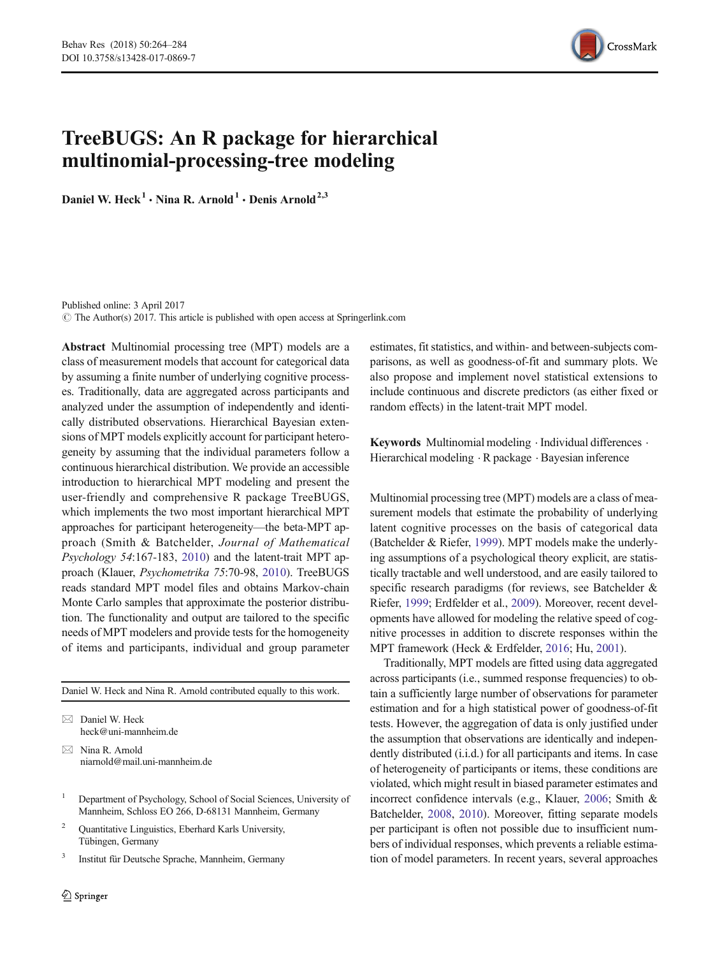

# TreeBUGS: An R package for hierarchical multinomial-processing-tree modeling

Daniel W. Heck<sup>1</sup> • Nina R. Arnold<sup>1</sup> • Denis Arnold<sup>2,3</sup>

Published online: 3 April 2017  $\odot$  The Author(s) 2017. This article is published with open access at Springerlink.com

Abstract Multinomial processing tree (MPT) models are a class of measurement models that account for categorical data by assuming a finite number of underlying cognitive processes. Traditionally, data are aggregated across participants and analyzed under the assumption of independently and identically distributed observations. Hierarchical Bayesian extensions of MPT models explicitly account for participant heterogeneity by assuming that the individual parameters follow a continuous hierarchical distribution. We provide an accessible introduction to hierarchical MPT modeling and present the user-friendly and comprehensive R package TreeBUGS, which implements the two most important hierarchical MPT approaches for participant heterogeneity—the beta-MPT approach (Smith & Batchelder, *Journal of Mathematical Psychology 54*:167-183, [2010](#page-20-0)) and the latent-trait MPT approach (Klauer, *Psychometrika 75*:70-98, [2010\)](#page-19-0). TreeBUGS reads standard MPT model files and obtains Markov-chain Monte Carlo samples that approximate the posterior distribution. The functionality and output are tailored to the specific needs of MPT modelers and provide tests for the homogeneity of items and participants, individual and group parameter

Daniel W. Heck and Nina R. Arnold contributed equally to this work.

 $\boxtimes$  Nina R. Arnold niarnold@mail.uni-mannheim.de

- <sup>1</sup> Department of Psychology, School of Social Sciences, University of Mannheim, Schloss EO 266, D-68131 Mannheim, Germany
- <sup>2</sup> Quantitative Linguistics, Eberhard Karls University, Tübingen, Germany
- 3 Institut für Deutsche Sprache, Mannheim, Germany

estimates, fit statistics, and within- and between-subjects comparisons, as well as goodness-of-fit and summary plots. We also propose and implement novel statistical extensions to include continuous and discrete predictors (as either fixed or random effects) in the latent-trait MPT model.

Keywords Multinomial modeling . Individual differences . Hierarchical modeling  $\cdot$  R package  $\cdot$  Bayesian inference

Multinomial processing tree (MPT) models are a class of measurement models that estimate the probability of underlying latent cognitive processes on the basis of categorical data (Batchelder & Riefer, [1999](#page-19-0)). MPT models make the underlying assumptions of a psychological theory explicit, are statistically tractable and well understood, and are easily tailored to specific research paradigms (for reviews, see Batchelder & Riefer, [1999;](#page-19-0) Erdfelder et al., [2009\)](#page-19-0). Moreover, recent developments have allowed for modeling the relative speed of cognitive processes in addition to discrete responses within the MPT framework (Heck & Erdfelder, [2016](#page-19-0); Hu, [2001](#page-19-0)).

Traditionally, MPT models are fitted using data aggregated across participants (i.e., summed response frequencies) to obtain a sufficiently large number of observations for parameter estimation and for a high statistical power of goodness-of-fit tests. However, the aggregation of data is only justified under the assumption that observations are identically and independently distributed (i.i.d.) for all participants and items. In case of heterogeneity of participants or items, these conditions are violated, which might result in biased parameter estimates and incorrect confidence intervals (e.g., Klauer, [2006](#page-19-0); Smith & Batchelder, [2008,](#page-20-0) [2010\)](#page-20-0). Moreover, fitting separate models per participant is often not possible due to insufficient numbers of individual responses, which prevents a reliable estimation of model parameters. In recent years, several approaches

 $\boxtimes$  Daniel W. Heck heck@uni-mannheim.de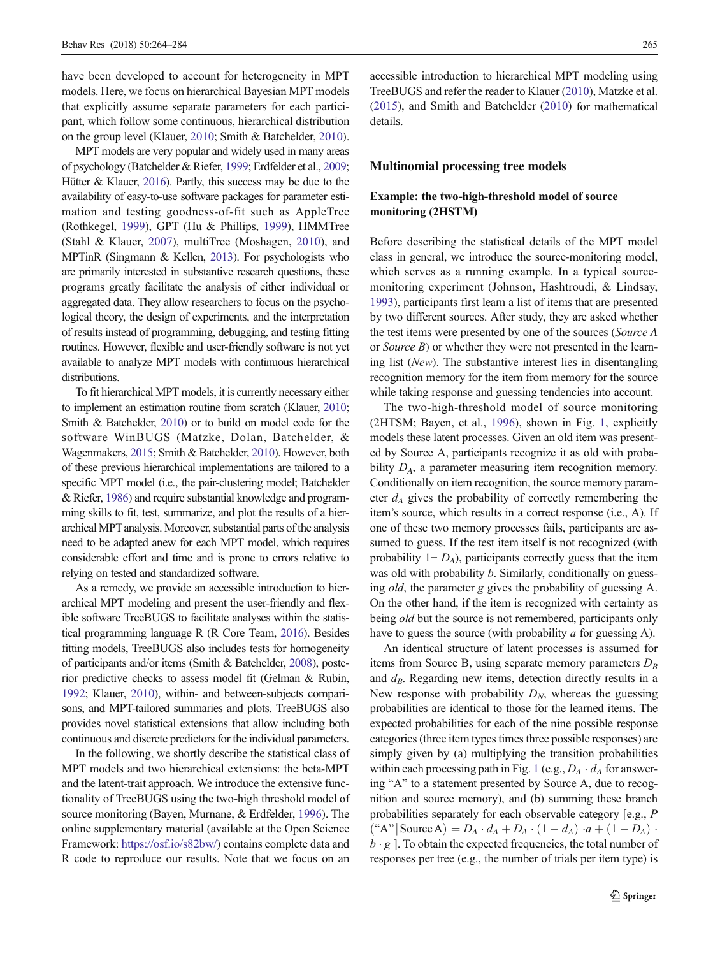have been developed to account for heterogeneity in MPT models. Here, we focus on hierarchical Bayesian MPT models that explicitly assume separate parameters for each participant, which follow some continuous, hierarchical distribution on the group level (Klauer, [2010](#page-19-0); Smith & Batchelder, [2010\)](#page-20-0).

MPT models are very popular and widely used in many areas of psychology (Batchelder & Riefer, [1999](#page-19-0); Erdfelder et al., [2009](#page-19-0); Hütter & Klauer, [2016](#page-19-0)). Partly, this success may be due to the availability of easy-to-use software packages for parameter estimation and testing goodness-of-fit such as AppleTree (Rothkegel, [1999](#page-19-0)), GPT (Hu & Phillips, [1999\)](#page-19-0), HMMTree (Stahl & Klauer, [2007\)](#page-20-0), multiTree (Moshagen, [2010](#page-19-0)), and MPTinR (Singmann & Kellen, [2013\)](#page-20-0). For psychologists who are primarily interested in substantive research questions, these programs greatly facilitate the analysis of either individual or aggregated data. They allow researchers to focus on the psychological theory, the design of experiments, and the interpretation of results instead of programming, debugging, and testing fitting routines. However, flexible and user-friendly software is not yet available to analyze MPT models with continuous hierarchical distributions.

To fit hierarchical MPT models, it is currently necessary either to implement an estimation routine from scratch (Klauer, [2010](#page-19-0); Smith & Batchelder, [2010\)](#page-20-0) or to build on model code for the software WinBUGS (Matzke, Dolan, Batchelder, & Wagenmakers, [2015;](#page-19-0) Smith & Batchelder, [2010](#page-20-0)). However, both of these previous hierarchical implementations are tailored to a specific MPT model (i.e., the pair-clustering model; Batchelder & Riefer, [1986](#page-19-0)) and require substantial knowledge and programming skills to fit, test, summarize, and plot the results of a hierarchical MPT analysis. Moreover, substantial parts of the analysis need to be adapted anew for each MPT model, which requires considerable effort and time and is prone to errors relative to relying on tested and standardized software.

As a remedy, we provide an accessible introduction to hierarchical MPT modeling and present the user-friendly and flexible software TreeBUGS to facilitate analyses within the statistical programming language R (R Core Team, [2016](#page-19-0)). Besides fitting models, TreeBUGS also includes tests for homogeneity of participants and/or items (Smith & Batchelder, [2008](#page-20-0)), posterior predictive checks to assess model fit (Gelman & Rubin, [1992](#page-19-0); Klauer, [2010\)](#page-19-0), within- and between-subjects comparisons, and MPT-tailored summaries and plots. TreeBUGS also provides novel statistical extensions that allow including both continuous and discrete predictors for the individual parameters.

In the following, we shortly describe the statistical class of MPT models and two hierarchical extensions: the beta-MPT and the latent-trait approach. We introduce the extensive functionality of TreeBUGS using the two-high threshold model of source monitoring (Bayen, Murnane, & Erdfelder, [1996](#page-18-0)). The online supplementary material (available at the Open Science Framework: <https://osf.io/s82bw/>) contains complete data and R code to reproduce our results. Note that we focus on an

accessible introduction to hierarchical MPT modeling using TreeBUGS and refer the reader to Klauer [\(2010\)](#page-19-0), Matzke et al. [\(2015](#page-19-0)), and Smith and Batchelder [\(2010\)](#page-20-0) for mathematical details.

# Multinomial processing tree models

# Example: the two-high-threshold model of source monitoring (2HSTM)

Before describing the statistical details of the MPT model class in general, we introduce the source-monitoring model, which serves as a running example. In a typical sourcemonitoring experiment (Johnson, Hashtroudi, & Lindsay, [1993\)](#page-19-0), participants first learn a list of items that are presented by two different sources. After study, they are asked whether the test items were presented by one of the sources (*Source A* or *Source B*) or whether they were not presented in the learning list (*New*). The substantive interest lies in disentangling recognition memory for the item from memory for the source while taking response and guessing tendencies into account.

The two-high-threshold model of source monitoring (2HTSM; Bayen, et al., [1996](#page-18-0)), shown in Fig. [1](#page-2-0), explicitly models these latent processes. Given an old item was presented by Source A, participants recognize it as old with probability  $D_A$ , a parameter measuring item recognition memory. Conditionally on item recognition, the source memory parameter *d<sup>A</sup>* gives the probability of correctly remembering the item's source, which results in a correct response (i.e., A). If one of these two memory processes fails, participants are assumed to guess. If the test item itself is not recognized (with probability 1− *DA*), participants correctly guess that the item was old with probability *b*. Similarly, conditionally on guessing *old*, the parameter *g* gives the probability of guessing A. On the other hand, if the item is recognized with certainty as being *old* but the source is not remembered, participants only have to guess the source (with probability *a* for guessing A).

An identical structure of latent processes is assumed for items from Source B, using separate memory parameters *D<sup>B</sup>* and *dB*. Regarding new items, detection directly results in a New response with probability  $D_N$ , whereas the guessing probabilities are identical to those for the learned items. The expected probabilities for each of the nine possible response categories (three item types times three possible responses) are simply given by (a) multiplying the transition probabilities within each processing path in Fig. [1](#page-2-0) (e.g.,  $D_A \cdot d_A$  for answering "A" to a statement presented by Source A, due to recognition and source memory), and (b) summing these branch probabilities separately for each observable category [e.g., *P*  $\left(\text{``A''}\right)$  Source A) =  $D_A \cdot d_A + D_A \cdot (1 - d_A) \cdot a + (1 - D_A) \cdot a$  $b \cdot g$ ]. To obtain the expected frequencies, the total number of responses per tree (e.g., the number of trials per item type) is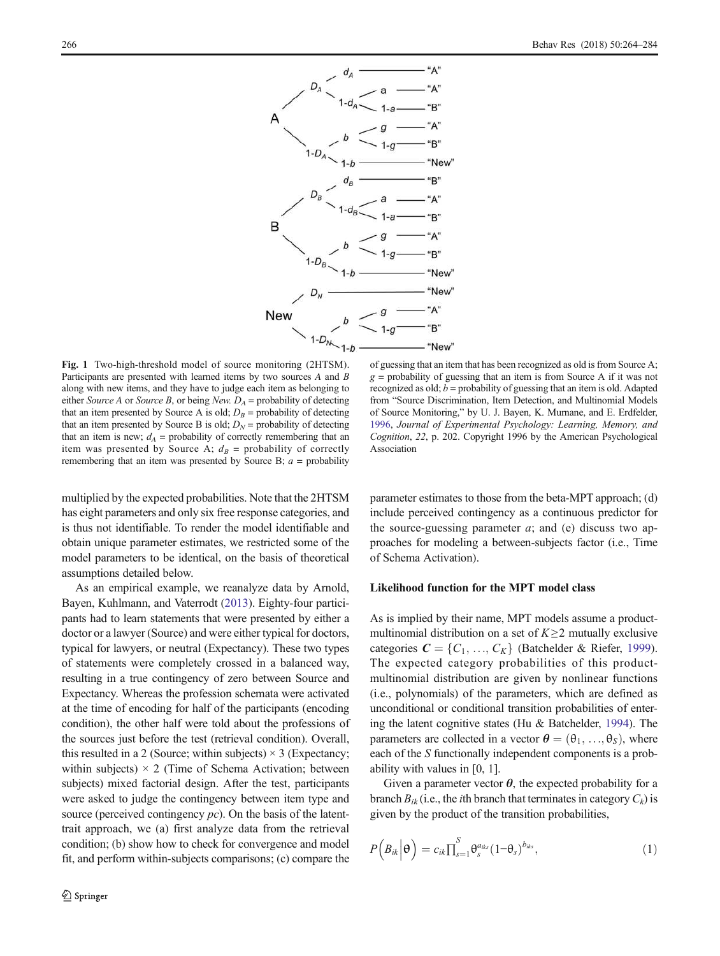<span id="page-2-0"></span>

Fig. 1 Two-high-threshold model of source monitoring (2HTSM). Participants are presented with learned items by two sources *A* and *B* along with new items, and they have to judge each item as belonging to either *Source A* or *Source B*, or being *New.*  $D_A$  = probability of detecting that an item presented by Source A is old;  $D_B$  = probability of detecting that an item presented by Source B is old;  $D_N$  = probability of detecting that an item is new;  $d_A$  = probability of correctly remembering that an item was presented by Source A;  $d_B$  = probability of correctly remembering that an item was presented by Source B;  $a =$  probability

multiplied by the expected probabilities. Note that the 2HTSM has eight parameters and only six free response categories, and is thus not identifiable. To render the model identifiable and obtain unique parameter estimates, we restricted some of the model parameters to be identical, on the basis of theoretical assumptions detailed below.

As an empirical example, we reanalyze data by Arnold, Bayen, Kuhlmann, and Vaterrodt ([2013\)](#page-18-0). Eighty-four participants had to learn statements that were presented by either a doctor or a lawyer (Source) and were either typical for doctors, typical for lawyers, or neutral (Expectancy). These two types of statements were completely crossed in a balanced way, resulting in a true contingency of zero between Source and Expectancy. Whereas the profession schemata were activated at the time of encoding for half of the participants (encoding condition), the other half were told about the professions of the sources just before the test (retrieval condition). Overall, this resulted in a 2 (Source; within subjects)  $\times$  3 (Expectancy; within subjects)  $\times$  2 (Time of Schema Activation; between subjects) mixed factorial design. After the test, participants were asked to judge the contingency between item type and source (perceived contingency *pc*). On the basis of the latenttrait approach, we (a) first analyze data from the retrieval condition; (b) show how to check for convergence and model fit, and perform within-subjects comparisons; (c) compare the

of guessing that an item that has been recognized as old is from Source A;  $g =$  probability of guessing that an item is from Source A if it was not recognized as old; *b* = probability of guessing that an item is old. Adapted from "Source Discrimination, Item Detection, and Multinomial Models of Source Monitoring," by U. J. Bayen, K. Murnane, and E. Erdfelder, [1996](#page-18-0), *Journal of Experimental Psychology: Learning, Memory, and Cognition*, *22*, p. 202. Copyright 1996 by the American Psychological Association

parameter estimates to those from the beta-MPT approach; (d) include perceived contingency as a continuous predictor for the source-guessing parameter  $a$ ; and (e) discuss two approaches for modeling a between-subjects factor (i.e., Time of Schema Activation).

# Likelihood function for the MPT model class

As is implied by their name, MPT models assume a productmultinomial distribution on a set of *K*≥2 mutually exclusive categories  $\mathbf{C} = \{C_1, \ldots, C_K\}$  (Batchelder & Riefer, [1999\)](#page-19-0). The expected category probabilities of this productmultinomial distribution are given by nonlinear functions (i.e., polynomials) of the parameters, which are defined as unconditional or conditional transition probabilities of entering the latent cognitive states (Hu & Batchelder, [1994](#page-19-0)). The parameters are collected in a vector  $\boldsymbol{\theta} = (\theta_1, \ldots, \theta_S)$ , where each of the *S* functionally independent components is a probability with values in [0, 1].

Given a parameter vector  $\theta$ , the expected probability for a branch  $B_{ik}$  (i.e., the *i*th branch that terminates in category  $C_k$ ) is given by the product of the transition probabilities,

$$
P\left(B_{ik}\Big|\Theta\right) = c_{ik}\prod_{s=1}^{S}\Theta_{s}^{a_{iks}}(1-\Theta_{s})^{b_{iks}}, \qquad (1)
$$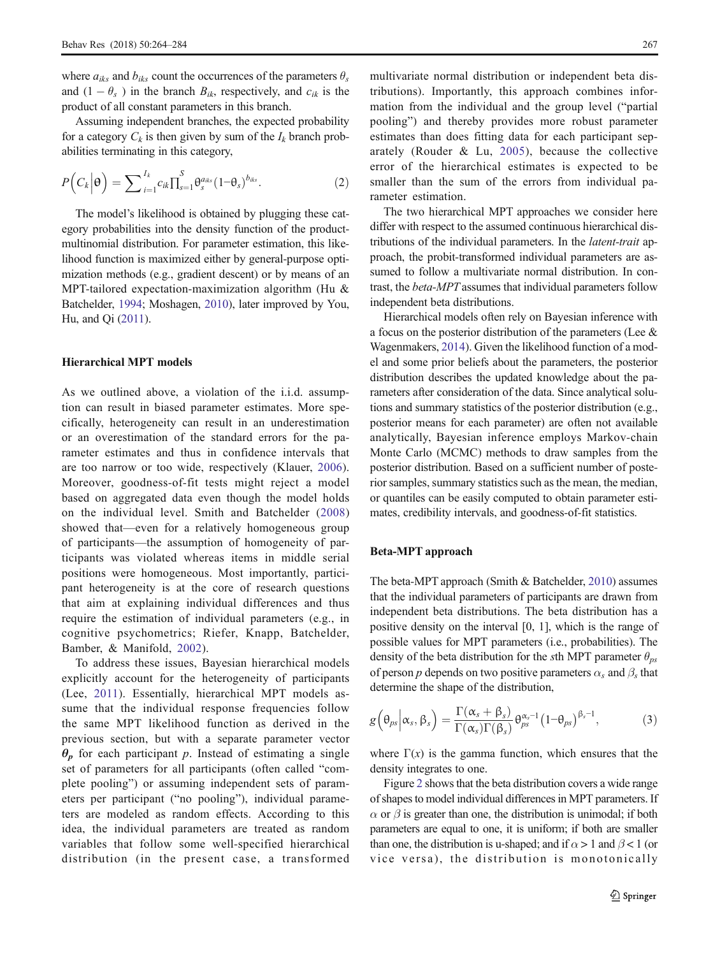where  $a_{iks}$  and  $b_{iks}$  count the occurrences of the parameters  $\theta_s$ and  $(1 - \theta_s)$  in the branch  $B_{ik}$ , respectively, and  $c_{ik}$  is the product of all constant parameters in this branch.

Assuming independent branches, the expected probability for a category  $C_k$  is then given by sum of the  $I_k$  branch probabilities terminating in this category,

$$
P\left(C_k\Big|\mathbf{\Theta}\right) = \sum_{i=1}^{I_k} c_{ik} \prod_{s=1}^S \theta_{s}^{a_{iks}} (1-\theta_s)^{b_{iks}}.
$$
 (2)

The model's likelihood is obtained by plugging these category probabilities into the density function of the productmultinomial distribution. For parameter estimation, this likelihood function is maximized either by general-purpose optimization methods (e.g., gradient descent) or by means of an MPT-tailored expectation-maximization algorithm (Hu & Batchelder, [1994;](#page-19-0) Moshagen, [2010\)](#page-19-0), later improved by You, Hu, and Qi [\(2011\)](#page-20-0).

# Hierarchical MPT models

As we outlined above, a violation of the i.i.d. assumption can result in biased parameter estimates. More specifically, heterogeneity can result in an underestimation or an overestimation of the standard errors for the parameter estimates and thus in confidence intervals that are too narrow or too wide, respectively (Klauer, [2006](#page-19-0)). Moreover, goodness-of-fit tests might reject a model based on aggregated data even though the model holds on the individual level. Smith and Batchelder ([2008\)](#page-20-0) showed that—even for a relatively homogeneous group of participants—the assumption of homogeneity of participants was violated whereas items in middle serial positions were homogeneous. Most importantly, participant heterogeneity is at the core of research questions that aim at explaining individual differences and thus require the estimation of individual parameters (e.g., in cognitive psychometrics; Riefer, Knapp, Batchelder, Bamber, & Manifold, [2002](#page-19-0)).

To address these issues, Bayesian hierarchical models explicitly account for the heterogeneity of participants (Lee, [2011](#page-19-0)). Essentially, hierarchical MPT models assume that the individual response frequencies follow the same MPT likelihood function as derived in the previous section, but with a separate parameter vector  $\theta_p$  for each participant *p*. Instead of estimating a single set of parameters for all participants (often called "complete pooling") or assuming independent sets of parameters per participant ("no pooling"), individual parameters are modeled as random effects. According to this idea, the individual parameters are treated as random variables that follow some well-specified hierarchical distribution (in the present case, a transformed multivariate normal distribution or independent beta distributions). Importantly, this approach combines information from the individual and the group level ("partial pooling") and thereby provides more robust parameter estimates than does fitting data for each participant separately (Rouder & Lu, [2005\)](#page-19-0), because the collective error of the hierarchical estimates is expected to be smaller than the sum of the errors from individual parameter estimation.

The two hierarchical MPT approaches we consider here differ with respect to the assumed continuous hierarchical distributions of the individual parameters. In the *latent-trait* approach, the probit-transformed individual parameters are assumed to follow a multivariate normal distribution. In contrast, the *beta-MPT* assumes that individual parameters follow independent beta distributions.

Hierarchical models often rely on Bayesian inference with a focus on the posterior distribution of the parameters (Lee & Wagenmakers, [2014\)](#page-19-0). Given the likelihood function of a model and some prior beliefs about the parameters, the posterior distribution describes the updated knowledge about the parameters after consideration of the data. Since analytical solutions and summary statistics of the posterior distribution (e.g., posterior means for each parameter) are often not available analytically, Bayesian inference employs Markov-chain Monte Carlo (MCMC) methods to draw samples from the posterior distribution. Based on a sufficient number of posterior samples, summary statistics such as the mean, the median, or quantiles can be easily computed to obtain parameter estimates, credibility intervals, and goodness-of-fit statistics.

## Beta-MPT approach

The beta-MPT approach (Smith & Batchelder, [2010](#page-20-0)) assumes that the individual parameters of participants are drawn from independent beta distributions. The beta distribution has a positive density on the interval [0, 1], which is the range of possible values for MPT parameters (i.e., probabilities). The density of the beta distribution for the *s*th MPT parameter  $\theta_{ps}$ of person *p* depends on two positive parameters  $\alpha_s$  and  $\beta_s$  that determine the shape of the distribution,

$$
g\left(\theta_{ps}\Big|\alpha_s,\beta_s\right)=\frac{\Gamma(\alpha_s+\beta_s)}{\Gamma(\alpha_s)\Gamma(\beta_s)}\theta_{ps}^{\alpha_s-1}(1-\theta_{ps})^{\beta_s-1},\qquad(3)
$$

where  $\Gamma(x)$  is the gamma function, which ensures that the density integrates to one.

Figure [2](#page-4-0) shows that the beta distribution covers a wide range of shapes to model individual differences in MPT parameters. If  $\alpha$  or  $\beta$  is greater than one, the distribution is unimodal; if both parameters are equal to one, it is uniform; if both are smaller than one, the distribution is u-shaped; and if  $\alpha > 1$  and  $\beta < 1$  (or vice versa), the distribution is monotonically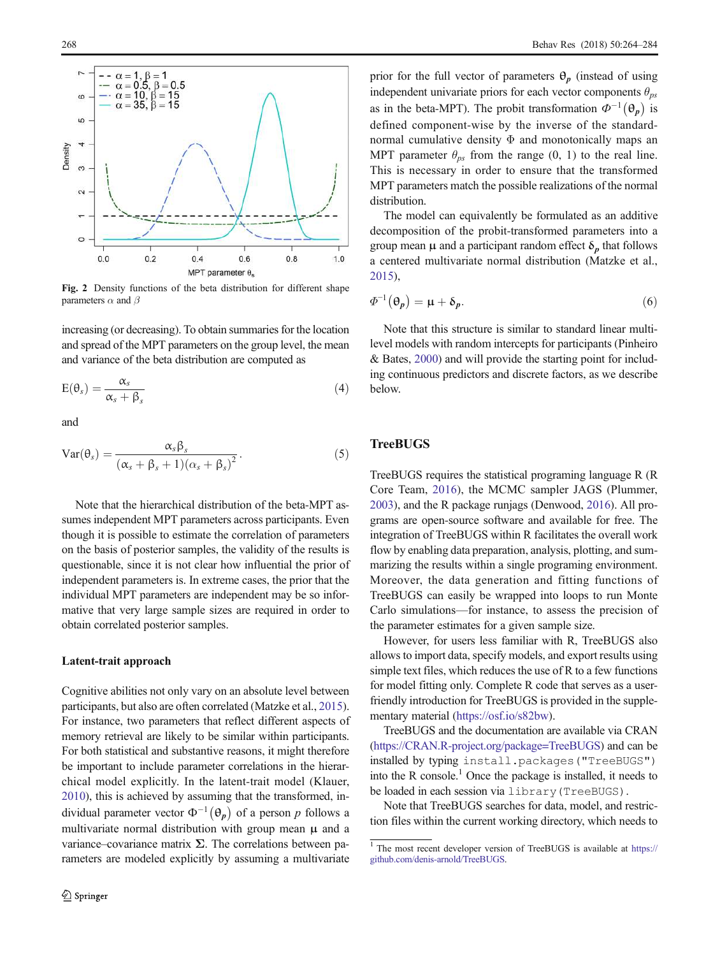<span id="page-4-0"></span>

Fig. 2 Density functions of the beta distribution for different shape parameters  $\alpha$  and  $\beta$ 

increasing (or decreasing). To obtain summaries for the location and spread of the MPT parameters on the group level, the mean and variance of the beta distribution are computed as

$$
E(\theta_s) = \frac{\alpha_s}{\alpha_s + \beta_s} \tag{4}
$$

and

$$
Var(\theta_s) = \frac{\alpha_s \beta_s}{(\alpha_s + \beta_s + 1)(\alpha_s + \beta_s)^2}.
$$
 (5)

Note that the hierarchical distribution of the beta-MPT assumes independent MPT parameters across participants. Even though it is possible to estimate the correlation of parameters on the basis of posterior samples, the validity of the results is questionable, since it is not clear how influential the prior of independent parameters is. In extreme cases, the prior that the individual MPT parameters are independent may be so informative that very large sample sizes are required in order to obtain correlated posterior samples.

### Latent-trait approach

Cognitive abilities not only vary on an absolute level between participants, but also are often correlated (Matzke et al., [2015\)](#page-19-0). For instance, two parameters that reflect different aspects of memory retrieval are likely to be similar within participants. For both statistical and substantive reasons, it might therefore be important to include parameter correlations in the hierarchical model explicitly. In the latent-trait model (Klauer, [2010\)](#page-19-0), this is achieved by assuming that the transformed, individual parameter vector  $\Phi^{-1}(\theta_p)$  of a person p follows a multivariate normal distribution with group mean  $\mu$  and a variance–covariance matrix  $\Sigma$ . The correlations between parameters are modeled explicitly by assuming a multivariate prior for the full vector of parameters  $\theta_p$  (instead of using independent univariate priors for each vector components θ*ps* as in the beta-MPT). The probit transformation  $\Phi^{-1}(\theta_p)$  is defined component-wise by the inverse of the standardnormal cumulative density  $\Phi$  and monotonically maps an MPT parameter  $\theta_{ps}$  from the range (0, 1) to the real line. This is necessary in order to ensure that the transformed MPT parameters match the possible realizations of the normal distribution.

The model can equivalently be formulated as an additive decomposition of the probit-transformed parameters into a group mean  $\mu$  and a participant random effect  $\delta_p$  that follows a centered multivariate normal distribution (Matzke et al., [2015\)](#page-19-0),

$$
\Phi^{-1}(\Theta_p) = \mu + \delta_p. \tag{6}
$$

Note that this structure is similar to standard linear multilevel models with random intercepts for participants (Pinheiro & Bates, [2000](#page-19-0)) and will provide the starting point for including continuous predictors and discrete factors, as we describe below.

# **TreeBUGS**

TreeBUGS requires the statistical programing language R (R Core Team, [2016](#page-19-0)), the MCMC sampler JAGS (Plummer, [2003\)](#page-19-0), and the R package runjags (Denwood, [2016](#page-19-0)). All programs are open-source software and available for free. The integration of TreeBUGS within R facilitates the overall work flow by enabling data preparation, analysis, plotting, and summarizing the results within a single programing environment. Moreover, the data generation and fitting functions of TreeBUGS can easily be wrapped into loops to run Monte Carlo simulations—for instance, to assess the precision of the parameter estimates for a given sample size.

However, for users less familiar with R, TreeBUGS also allows to import data, specify models, and export results using simple text files, which reduces the use of R to a few functions for model fitting only. Complete R code that serves as a userfriendly introduction for TreeBUGS is provided in the supplementary material ([https://osf.io/s82bw\)](https://osf.io/s82bw).

TreeBUGS and the documentation are available via CRAN [\(https://CRAN.R-project.org/package=TreeBUGS\)](https://CRAN.R-project.org/package=TreeBUGS) and can be installed by typing install.packages("TreeBUGS") into the R console.<sup>1</sup> Once the package is installed, it needs to be loaded in each session via library(TreeBUGS).

Note that TreeBUGS searches for data, model, and restriction files within the current working directory, which needs to

<sup>&</sup>lt;sup>1</sup> The most recent developer version of TreeBUGS is available at [https://](https://github.com/denis-arnold/TreeBUGS) [github.com/denis-arnold/TreeBUGS.](https://github.com/denis-arnold/TreeBUGS)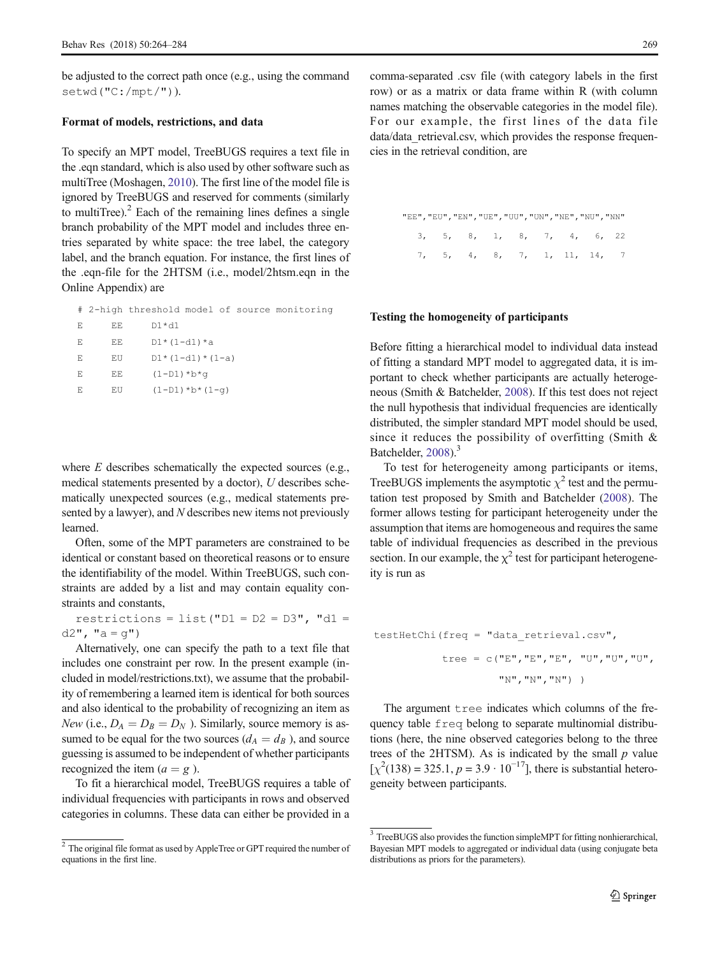be adjusted to the correct path once (e.g., using the command setwd("C:/mpt/")).

#### Format of models, restrictions, and data

To specify an MPT model, TreeBUGS requires a text file in the .eqn standard, which is also used by other software such as multiTree (Moshagen, [2010\)](#page-19-0). The first line of the model file is ignored by TreeBUGS and reserved for comments (similarly to multiTree). $^{2}$  Each of the remaining lines defines a single branch probability of the MPT model and includes three entries separated by white space: the tree label, the category label, and the branch equation. For instance, the first lines of the .eqn-file for the 2HTSM (i.e., model/2htsm.eqn in the Online Appendix) are

# 2-high threshold model of source monitoring

| E  | EE. | $DI*d1$           |
|----|-----|-------------------|
| E  | EE. | $DI*(1-d1)*a$     |
| F. | ΕU  | $D1*(1-d1)*(1-a)$ |
| F. | EЕ  | $(1-D1)*b*q$      |
| E  | EU  | $(1-D1)*b*(1-q)$  |
|    |     |                   |

where *E* describes schematically the expected sources (e.g., medical statements presented by a doctor), *U* describes schematically unexpected sources (e.g., medical statements presented by a lawyer), and *N* describes new items not previously learned.

Often, some of the MPT parameters are constrained to be identical or constant based on theoretical reasons or to ensure the identifiability of the model. Within TreeBUGS, such constraints are added by a list and may contain equality constraints and constants,

restrictions =  $list("D1 = D2 = D3", "d1 =$  $d2"$ , " $a = q"$ )

Alternatively, one can specify the path to a text file that includes one constraint per row. In the present example (included in model/restrictions.txt), we assume that the probability of remembering a learned item is identical for both sources and also identical to the probability of recognizing an item as *New* (i.e.,  $D_A = D_B = D_N$ ). Similarly, source memory is assumed to be equal for the two sources ( $d_A = d_B$ ), and source guessing is assumed to be independent of whether participants recognized the item  $(a = g)$ .

To fit a hierarchical model, TreeBUGS requires a table of individual frequencies with participants in rows and observed categories in columns. These data can either be provided in a

comma-separated .csv file (with category labels in the first row) or as a matrix or data frame within R (with column names matching the observable categories in the model file). For our example, the first lines of the data file data/data\_retrieval.csv, which provides the response frequencies in the retrieval condition, are

| "EE", "EU", "EN", "UE", "UU", "UN", "NE", "NU", "NN" |  |  |  |  |
|------------------------------------------------------|--|--|--|--|
| 3, 5, 8, 1, 8, 7, 4, 6, 22                           |  |  |  |  |
| 7, 5, 4, 8, 7, 1, 11, 14, 7                          |  |  |  |  |

#### Testing the homogeneity of participants

Before fitting a hierarchical model to individual data instead of fitting a standard MPT model to aggregated data, it is important to check whether participants are actually heterogeneous (Smith & Batchelder, [2008](#page-20-0)). If this test does not reject the null hypothesis that individual frequencies are identically distributed, the simpler standard MPT model should be used, since it reduces the possibility of overfitting (Smith & Batchelder, [2008](#page-20-0)).<sup>3</sup>

To test for heterogeneity among participants or items, TreeBUGS implements the asymptotic  $\chi^2$  test and the permutation test proposed by Smith and Batchelder [\(2008](#page-20-0)). The former allows testing for participant heterogeneity under the assumption that items are homogeneous and requires the same table of individual frequencies as described in the previous section. In our example, the  $\chi^2$  test for participant heterogeneity is run as

testHetChi(freq = "data\_retrieval.csv",  
\n
$$
tree = c("E", "E", "E", "U", "U", "U", "U",
$$

The argument tree indicates which columns of the frequency table freq belong to separate multinomial distributions (here, the nine observed categories belong to the three trees of the 2HTSM). As is indicated by the small *p* value  $[\chi^2(138) = 325.1, p = 3.9 \cdot 10^{-17}]$ , there is substantial heterogeneity between participants.

 $2$  The original file format as used by AppleTree or GPT required the number of equations in the first line.

<sup>&</sup>lt;sup>3</sup> TreeBUGS also provides the function simpleMPT for fitting nonhierarchical, Bayesian MPT models to aggregated or individual data (using conjugate beta distributions as priors for the parameters).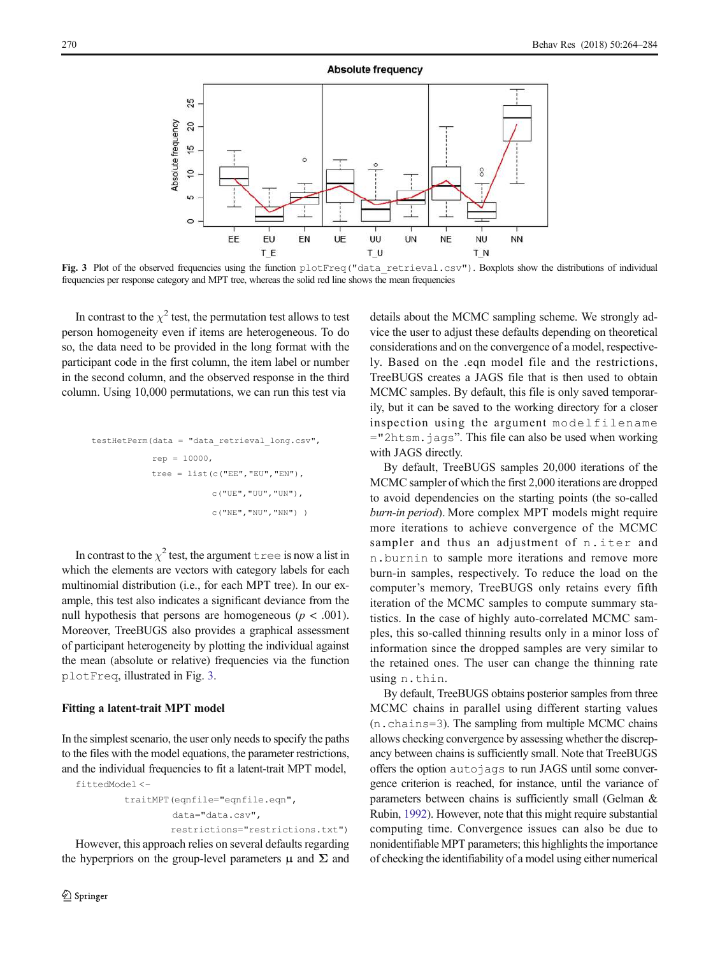

Fig. 3 Plot of the observed frequencies using the function plotFreq("data\_retrieval.csv"). Boxplots show the distributions of individual frequencies per response category and MPT tree, whereas the solid red line shows the mean frequencies

In contrast to the  $\chi^2$  test, the permutation test allows to test person homogeneity even if items are heterogeneous. To do so, the data need to be provided in the long format with the participant code in the first column, the item label or number in the second column, and the observed response in the third column. Using 10,000 permutations, we can run this test via

```
testHetPerm(data = "data_retrieval_long.csv",
            rep = 10000,tree = list(c("EE","EU","EN"),
                        c("UE","UU","UN"),
                        c("NE", "NU", "NN") )
```
In contrast to the  $\chi^2$  test, the argument the is now a list in which the elements are vectors with category labels for each multinomial distribution (i.e., for each MPT tree). In our example, this test also indicates a significant deviance from the null hypothesis that persons are homogeneous  $(p < .001)$ . Moreover, TreeBUGS also provides a graphical assessment of participant heterogeneity by plotting the individual against the mean (absolute or relative) frequencies via the function plotFreq, illustrated in Fig. 3.

#### Fitting a latent-trait MPT model

In the simplest scenario, the user only needs to specify the paths to the files with the model equations, the parameter restrictions, and the individual frequencies to fit a latent-trait MPT model,

```
fittedModel <−
        traitMPT(eqnfile="eqnfile.eqn",
                 data="data.csv",
                 restrictions="restrictions.txt")
```
However, this approach relies on several defaults regarding the hyperpriors on the group-level parameters  $\mu$  and  $\Sigma$  and details about the MCMC sampling scheme. We strongly advice the user to adjust these defaults depending on theoretical considerations and on the convergence of a model, respectively. Based on the .eqn model file and the restrictions, TreeBUGS creates a JAGS file that is then used to obtain MCMC samples. By default, this file is only saved temporarily, but it can be saved to the working directory for a closer inspection using the argument modelfilename ="2htsm.jags". This file can also be used when working with JAGS directly.

By default, TreeBUGS samples 20,000 iterations of the MCMC sampler of which the first 2,000 iterations are dropped to avoid dependencies on the starting points (the so-called *burn-in period*). More complex MPT models might require more iterations to achieve convergence of the MCMC sampler and thus an adjustment of n.iter and n.burnin to sample more iterations and remove more burn-in samples, respectively. To reduce the load on the computer's memory, TreeBUGS only retains every fifth iteration of the MCMC samples to compute summary statistics. In the case of highly auto-correlated MCMC samples, this so-called thinning results only in a minor loss of information since the dropped samples are very similar to the retained ones. The user can change the thinning rate using n.thin.

By default, TreeBUGS obtains posterior samples from three MCMC chains in parallel using different starting values (n.chains=3). The sampling from multiple MCMC chains allows checking convergence by assessing whether the discrepancy between chains is sufficiently small. Note that TreeBUGS offers the option autojags to run JAGS until some convergence criterion is reached, for instance, until the variance of parameters between chains is sufficiently small (Gelman & Rubin, [1992](#page-19-0)). However, note that this might require substantial computing time. Convergence issues can also be due to nonidentifiable MPT parameters; this highlights the importance of checking the identifiability of a model using either numerical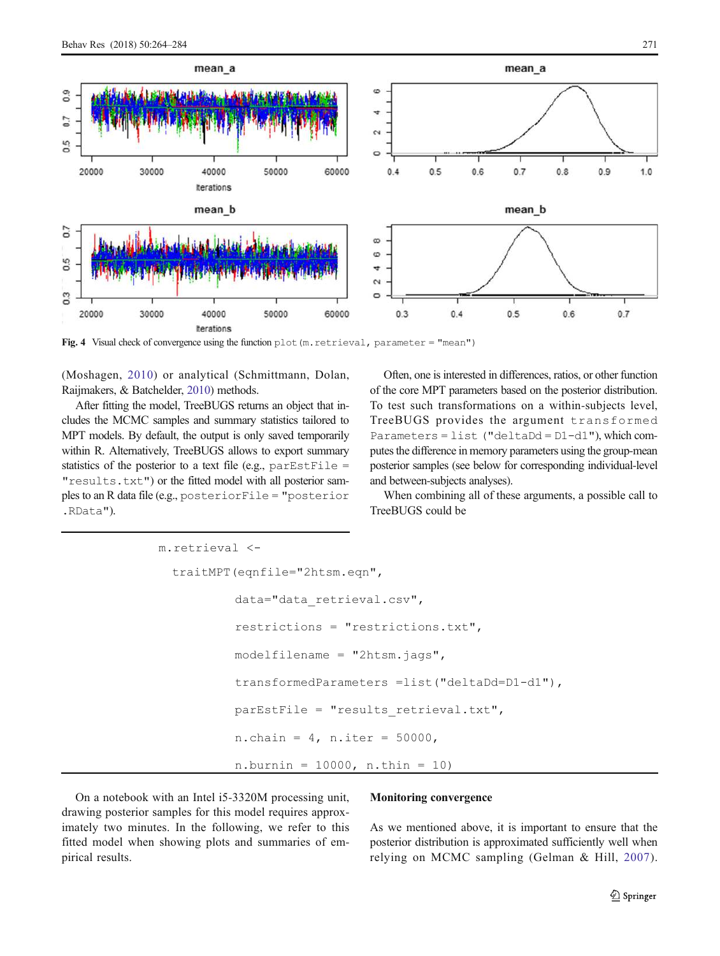<span id="page-7-0"></span>

Fig. 4 Visual check of convergence using the function plot(m.retrieval, parameter = "mean")

(Moshagen, [2010\)](#page-19-0) or analytical (Schmittmann, Dolan, Raijmakers, & Batchelder, [2010\)](#page-19-0) methods.

After fitting the model, TreeBUGS returns an object that includes the MCMC samples and summary statistics tailored to MPT models. By default, the output is only saved temporarily within R. Alternatively, TreeBUGS allows to export summary statistics of the posterior to a text file (e.g.,  $parEstFile =$ "results.txt") or the fitted model with all posterior samples to an R data file (e.g., posteriorFile = "posterior .RData").

Often, one is interested in differences, ratios, or other function of the core MPT parameters based on the posterior distribution. To test such transformations on a within-subjects level, TreeBUGS provides the argument transformed Parameters = list ("deltaDd = D1-d1"), which computes the difference in memory parameters using the group-mean posterior samples (see below for corresponding individual-level and between-subjects analyses).

When combining all of these arguments, a possible call to TreeBUGS could be

```
m.retrieval <-
 traitMPT(eqnfile="2htsm.eqn", 
          data="data_retrieval.csv",
          restrictions = "restrictions.txt", 
          modelfilename = "2htsm.jags", 
          transformedParameters =list("deltaDd=D1-d1"),
          parEstFile = "results retrieval.txt",
          n.chain = 4, n.iter = 50000,
          n.burnin = 10000, n.thin = 10
```
On a notebook with an Intel i5-3320M processing unit, drawing posterior samples for this model requires approximately two minutes. In the following, we refer to this fitted model when showing plots and summaries of empirical results.

## Monitoring convergence

As we mentioned above, it is important to ensure that the posterior distribution is approximated sufficiently well when relying on MCMC sampling (Gelman & Hill, [2007](#page-19-0)).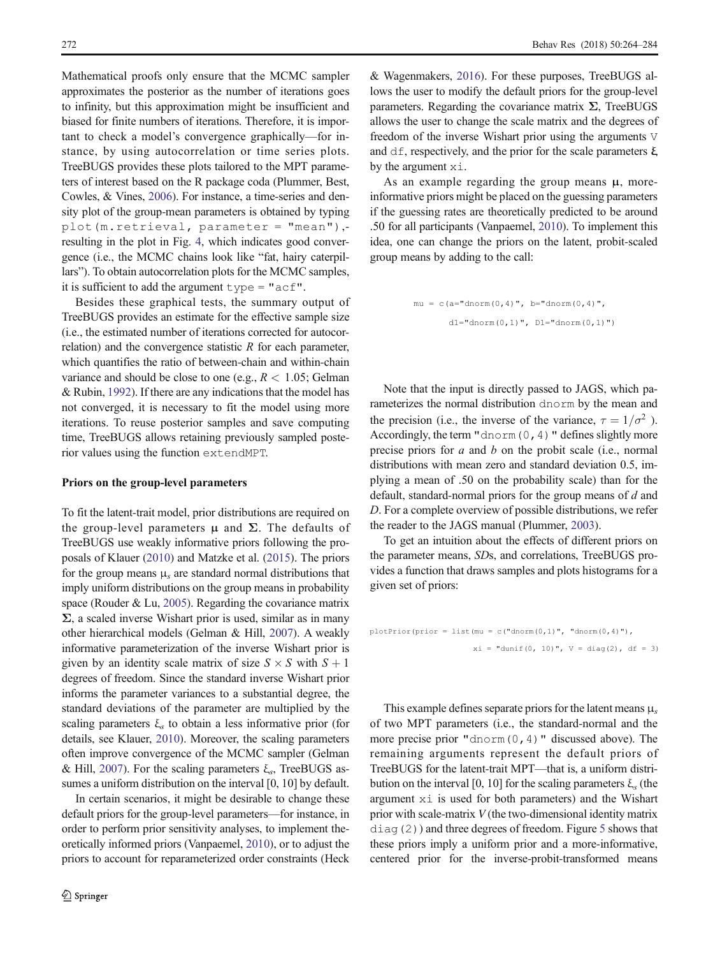Mathematical proofs only ensure that the MCMC sampler approximates the posterior as the number of iterations goes to infinity, but this approximation might be insufficient and biased for finite numbers of iterations. Therefore, it is important to check a model's convergence graphically—for instance, by using autocorrelation or time series plots. TreeBUGS provides these plots tailored to the MPT parameters of interest based on the R package coda (Plummer, Best, Cowles, & Vines, [2006](#page-19-0)). For instance, a time-series and density plot of the group-mean parameters is obtained by typing plot(m.retrieval, parameter = "mean"), resulting in the plot in Fig. [4,](#page-7-0) which indicates good convergence (i.e., the MCMC chains look like "fat, hairy caterpillars"). To obtain autocorrelation plots for the MCMC samples, it is sufficient to add the argument  $type = "acf".$ 

Besides these graphical tests, the summary output of TreeBUGS provides an estimate for the effective sample size (i.e., the estimated number of iterations corrected for autocorrelation) and the convergence statistic *R* for each parameter, which quantifies the ratio of between-chain and within-chain variance and should be close to one (e.g.,  $R < 1.05$ ; Gelman & Rubin, [1992\)](#page-19-0). If there are any indications that the model has not converged, it is necessary to fit the model using more iterations. To reuse posterior samples and save computing time, TreeBUGS allows retaining previously sampled posterior values using the function extendMPT.

## Priors on the group-level parameters

To fit the latent-trait model, prior distributions are required on the group-level parameters  $\mu$  and  $\Sigma$ . The defaults of TreeBUGS use weakly informative priors following the proposals of Klauer [\(2010\)](#page-19-0) and Matzke et al. ([2015](#page-19-0)). The priors for the group means μ*<sup>s</sup>* are standard normal distributions that imply uniform distributions on the group means in probability space (Rouder & Lu, [2005\)](#page-19-0). Regarding the covariance matrix  $\Sigma$ , a scaled inverse Wishart prior is used, similar as in many other hierarchical models (Gelman & Hill, [2007\)](#page-19-0). A weakly informative parameterization of the inverse Wishart prior is given by an identity scale matrix of size  $S \times S$  with  $S + 1$ degrees of freedom. Since the standard inverse Wishart prior informs the parameter variances to a substantial degree, the standard deviations of the parameter are multiplied by the scaling parameters ξ*<sup>s</sup>* to obtain a less informative prior (for details, see Klauer, [2010\)](#page-19-0). Moreover, the scaling parameters often improve convergence of the MCMC sampler (Gelman & Hill, [2007\)](#page-19-0). For the scaling parameters ξ*<sup>s</sup>* , TreeBUGS assumes a uniform distribution on the interval [0, 10] by default.

In certain scenarios, it might be desirable to change these default priors for the group-level parameters—for instance, in order to perform prior sensitivity analyses, to implement theoretically informed priors (Vanpaemel, [2010](#page-20-0)), or to adjust the priors to account for reparameterized order constraints (Heck

& Wagenmakers, [2016\)](#page-19-0). For these purposes, TreeBUGS allows the user to modify the default priors for the group-level parameters. Regarding the covariance matrix Σ, TreeBUGS allows the user to change the scale matrix and the degrees of freedom of the inverse Wishart prior using the arguments V and  $df$ , respectively, and the prior for the scale parameters  $\xi$ by the argument xi.

As an example regarding the group means  $\mu$ , moreinformative priors might be placed on the guessing parameters if the guessing rates are theoretically predicted to be around .50 for all participants (Vanpaemel, [2010](#page-20-0)). To implement this idea, one can change the priors on the latent, probit-scaled group means by adding to the call:

```
mu = c(a="dnorm(0, 4)", b="dnorm(0, 4)",dl = "dnorm(0,1)", D1 = "dnorm(0,1)"
```
Note that the input is directly passed to JAGS, which parameterizes the normal distribution dnorm by the mean and the precision (i.e., the inverse of the variance,  $\tau = 1/\sigma^2$ ). Accordingly, the term "dnorm  $(0, 4)$ " defines slightly more precise priors for *a* and *b* on the probit scale (i.e., normal distributions with mean zero and standard deviation 0.5, implying a mean of .50 on the probability scale) than for the default, standard-normal priors for the group means of *d* and *D*. For a complete overview of possible distributions, we refer the reader to the JAGS manual (Plummer, [2003](#page-19-0)).

To get an intuition about the effects of different priors on the parameter means, *SD*s, and correlations, TreeBUGS provides a function that draws samples and plots histograms for a given set of priors:

```
plotPrior(prior = list(mu = c("dnorm(0,1)", "dnorm(0,4)"),
                       xi = "dunit(0, 10)", V = diag(2), df = 3)
```
This example defines separate priors for the latent means μ*<sup>s</sup>* of two MPT parameters (i.e., the standard-normal and the more precise prior "dnorm $(0, 4)$ " discussed above). The remaining arguments represent the default priors of TreeBUGS for the latent-trait MPT—that is, a uniform distribution on the interval [0, 10] for the scaling parameters  $ξ<sub>s</sub>$  (the argument xi is used for both parameters) and the Wishart prior with scale-matrix *V* (the two-dimensional identity matrix diag(2)) and three degrees of freedom. Figure [5](#page-9-0) shows that these priors imply a uniform prior and a more-informative, centered prior for the inverse-probit-transformed means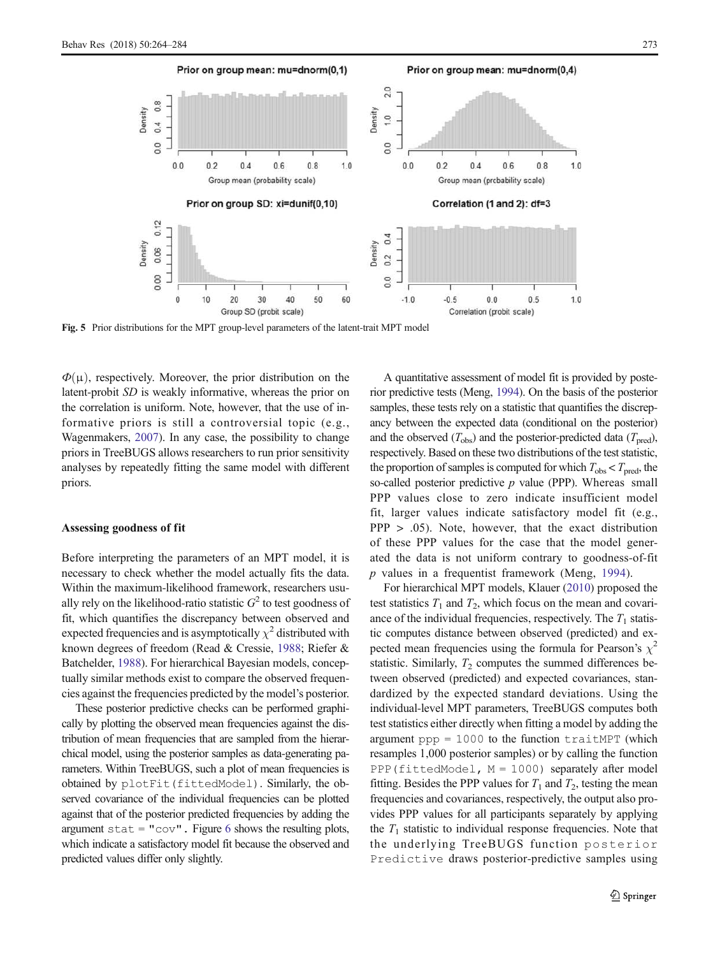<span id="page-9-0"></span>

Fig. 5 Prior distributions for the MPT group-level parameters of the latent-trait MPT model

 $\Phi(\mu)$ , respectively. Moreover, the prior distribution on the latent-probit *SD* is weakly informative, whereas the prior on the correlation is uniform. Note, however, that the use of informative priors is still a controversial topic (e.g., Wagenmakers, [2007](#page-20-0)). In any case, the possibility to change priors in TreeBUGS allows researchers to run prior sensitivity analyses by repeatedly fitting the same model with different priors.

#### Assessing goodness of fit

Before interpreting the parameters of an MPT model, it is necessary to check whether the model actually fits the data. Within the maximum-likelihood framework, researchers usually rely on the likelihood-ratio statistic  $G^2$  to test goodness of fit, which quantifies the discrepancy between observed and expected frequencies and is asymptotically  $\chi^2$  distributed with known degrees of freedom (Read & Cressie, [1988;](#page-19-0) Riefer & Batchelder, [1988\)](#page-19-0). For hierarchical Bayesian models, conceptually similar methods exist to compare the observed frequencies against the frequencies predicted by the model's posterior.

These posterior predictive checks can be performed graphically by plotting the observed mean frequencies against the distribution of mean frequencies that are sampled from the hierarchical model, using the posterior samples as data-generating parameters. Within TreeBUGS, such a plot of mean frequencies is obtained by plotFit(fittedModel). Similarly, the observed covariance of the individual frequencies can be plotted against that of the posterior predicted frequencies by adding the argument  $stat = "cov"$ . Figure [6](#page-10-0) shows the resulting plots, which indicate a satisfactory model fit because the observed and predicted values differ only slightly.

A quantitative assessment of model fit is provided by posterior predictive tests (Meng, [1994](#page-19-0)). On the basis of the posterior samples, these tests rely on a statistic that quantifies the discrepancy between the expected data (conditional on the posterior) and the observed  $(T_{obs})$  and the posterior-predicted data  $(T_{pred})$ , respectively. Based on these two distributions of the test statistic, the proportion of samples is computed for which  $T_{obs} < T_{pred}$ , the so-called posterior predictive *p* value (PPP). Whereas small PPP values close to zero indicate insufficient model fit, larger values indicate satisfactory model fit (e.g., PPP > .05). Note, however, that the exact distribution of these PPP values for the case that the model generated the data is not uniform contrary to goodness-of-fit *p* values in a frequentist framework (Meng, [1994](#page-19-0)).

For hierarchical MPT models, Klauer ([2010](#page-19-0)) proposed the test statistics  $T_1$  and  $T_2$ , which focus on the mean and covariance of the individual frequencies, respectively. The  $T_1$  statistic computes distance between observed (predicted) and expected mean frequencies using the formula for Pearson's  $\chi^2$ statistic. Similarly,  $T_2$  computes the summed differences between observed (predicted) and expected covariances, standardized by the expected standard deviations. Using the individual-level MPT parameters, TreeBUGS computes both test statistics either directly when fitting a model by adding the argument  $ppp = 1000$  to the function  $text$  TraitMPT (which resamples 1,000 posterior samples) or by calling the function PPP(fittedModel,  $M = 1000$ ) separately after model fitting. Besides the PPP values for  $T_1$  and  $T_2$ , testing the mean frequencies and covariances, respectively, the output also provides PPP values for all participants separately by applying the  $T_1$  statistic to individual response frequencies. Note that the underlying TreeBUGS function posterior Predictive draws posterior-predictive samples using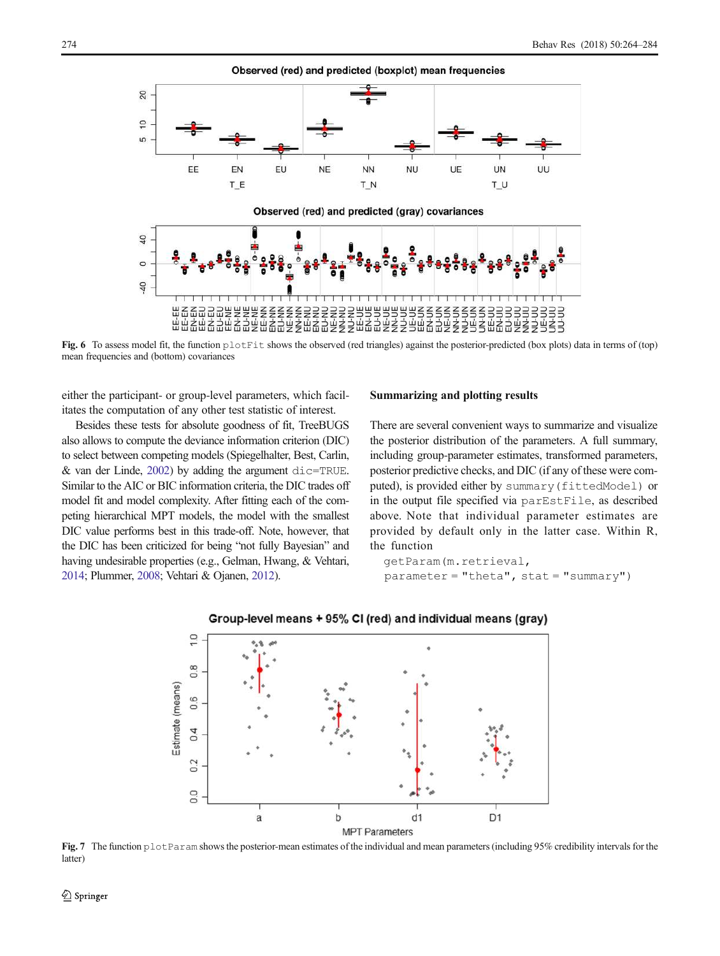<span id="page-10-0"></span>

Fig. 6 To assess model fit, the function  $plotFit$  shows the observed (red triangles) against the posterior-predicted (box plots) data in terms of (top) mean frequencies and (bottom) covariances

either the participant- or group-level parameters, which facilitates the computation of any other test statistic of interest.

Besides these tests for absolute goodness of fit, TreeBUGS also allows to compute the deviance information criterion (DIC) to select between competing models (Spiegelhalter, Best, Carlin,  $&$  van der Linde, [2002](#page-20-0)) by adding the argument  $\text{dic}=\text{TRUE}$ . Similar to the AIC or BIC information criteria, the DIC trades off model fit and model complexity. After fitting each of the competing hierarchical MPT models, the model with the smallest DIC value performs best in this trade-off. Note, however, that the DIC has been criticized for being "not fully Bayesian" and having undesirable properties (e.g., Gelman, Hwang, & Vehtari, [2014;](#page-19-0) Plummer, [2008](#page-19-0); Vehtari & Ojanen, [2012](#page-20-0)).

# Summarizing and plotting results

There are several convenient ways to summarize and visualize the posterior distribution of the parameters. A full summary, including group-parameter estimates, transformed parameters, posterior predictive checks, and DIC (if any of these were computed), is provided either by summary(fittedModel) or in the output file specified via parEstFile, as described above. Note that individual parameter estimates are provided by default only in the latter case. Within R, the function

```
getParam(m.retrieval,
parameter = "theta", stat = "summary")
```


## Group-level means + 95% CI (red) and individual means (gray)

Fig. 7 The function plotParam shows the posterior-mean estimates of the individual and mean parameters (including 95% credibility intervals for the latter)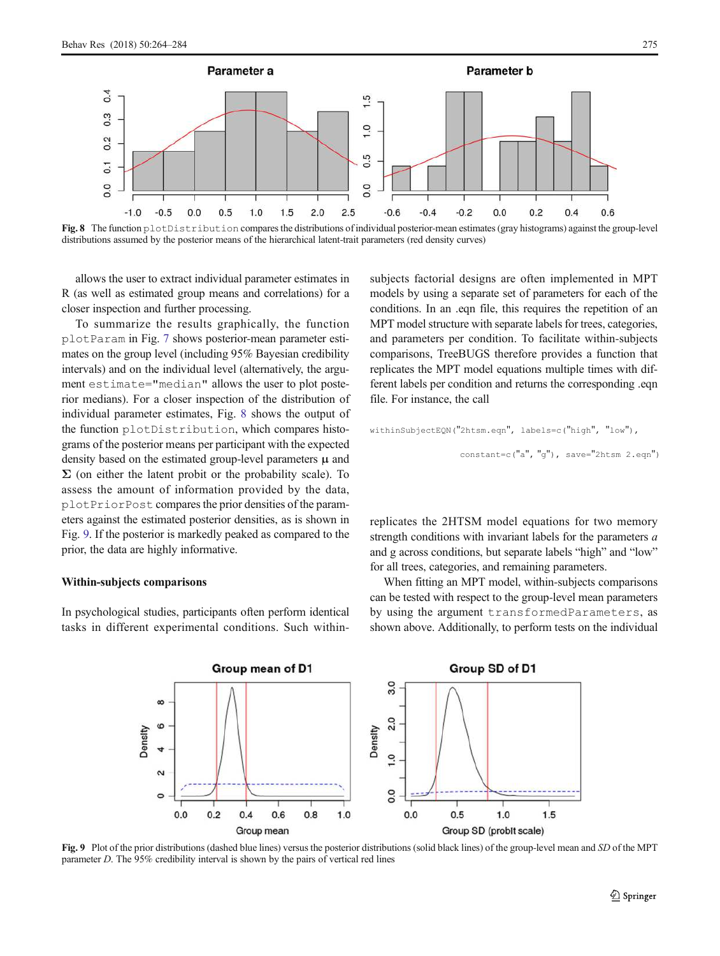

Fig. 8 The function plotDistribution compares the distributions of individual posterior-mean estimates (gray histograms) against the group-level distributions assumed by the posterior means of the hierarchical latent-trait parameters (red density curves)

allows the user to extract individual parameter estimates in R (as well as estimated group means and correlations) for a closer inspection and further processing.

To summarize the results graphically, the function plotParam in Fig. [7](#page-10-0) shows posterior-mean parameter estimates on the group level (including 95% Bayesian credibility intervals) and on the individual level (alternatively, the argument estimate="median" allows the user to plot posterior medians). For a closer inspection of the distribution of individual parameter estimates, Fig. 8 shows the output of the function plotDistribution, which compares histograms of the posterior means per participant with the expected density based on the estimated group-level parameters  $\mu$  and  $\Sigma$  (on either the latent probit or the probability scale). To assess the amount of information provided by the data, plotPriorPost compares the prior densities of the parameters against the estimated posterior densities, as is shown in Fig. 9. If the posterior is markedly peaked as compared to the prior, the data are highly informative.

#### Within-subjects comparisons

In psychological studies, participants often perform identical tasks in different experimental conditions. Such withinsubjects factorial designs are often implemented in MPT models by using a separate set of parameters for each of the conditions. In an .eqn file, this requires the repetition of an MPT model structure with separate labels for trees, categories, and parameters per condition. To facilitate within-subjects comparisons, TreeBUGS therefore provides a function that replicates the MPT model equations multiple times with different labels per condition and returns the corresponding .eqn file. For instance, the call

```
withinSubjectEQN("2htsm.eqn", labels=c("high", "low"), 
                  constant=c("a", "g"), save="2htsm 2.eqn")
```
replicates the 2HTSM model equations for two memory strength conditions with invariant labels for the parameters *a* and g across conditions, but separate labels "high" and "low" for all trees, categories, and remaining parameters.

When fitting an MPT model, within-subjects comparisons can be tested with respect to the group-level mean parameters by using the argument transformedParameters, as shown above. Additionally, to perform tests on the individual



Fig. 9 Plot of the prior distributions (dashed blue lines) versus the posterior distributions (solid black lines) of the group-level mean and *SD* of the MPT parameter *D*. The 95% credibility interval is shown by the pairs of vertical red lines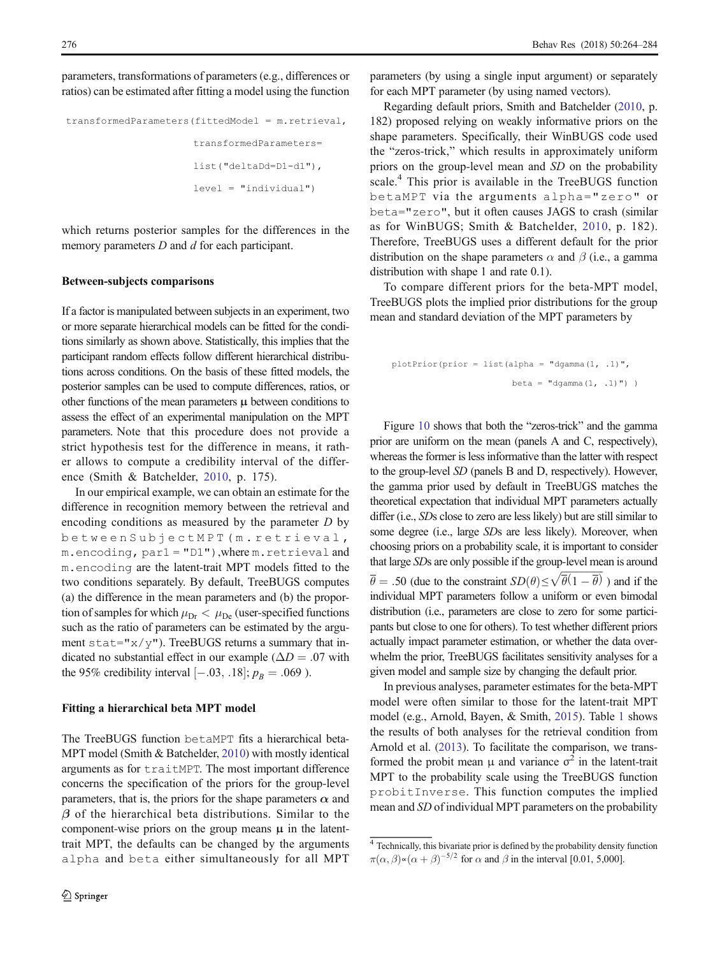parameters, transformations of parameters (e.g., differences or ratios) can be estimated after fitting a model using the function

```
transformedParameters(fittedModel = m.retrieval,
                      transformedParameters=
                      list("deltaDd=D1-d1"),
                      level = "individual")
```
which returns posterior samples for the differences in the memory parameters *D* and *d* for each participant.

#### Between-subjects comparisons

If a factor is manipulated between subjects in an experiment, two or more separate hierarchical models can be fitted for the conditions similarly as shown above. Statistically, this implies that the participant random effects follow different hierarchical distributions across conditions. On the basis of these fitted models, the posterior samples can be used to compute differences, ratios, or other functions of the mean parameters  $\mu$  between conditions to assess the effect of an experimental manipulation on the MPT parameters. Note that this procedure does not provide a strict hypothesis test for the difference in means, it rather allows to compute a credibility interval of the difference (Smith & Batchelder, [2010,](#page-20-0) p. 175).

In our empirical example, we can obtain an estimate for the difference in recognition memory between the retrieval and encoding conditions as measured by the parameter *D* by betweenSubjectMPT(m.retrieval, m.encoding, par1 = "D1"),where m.retrieval and m.encoding are the latent-trait MPT models fitted to the two conditions separately. By default, TreeBUGS computes (a) the difference in the mean parameters and (b) the proportion of samples for which  $\mu_{Dr} < \mu_{De}$  (user-specified functions such as the ratio of parameters can be estimated by the argument stat=" $x/y$ "). TreeBUGS returns a summary that indicated no substantial effect in our example ( $\Delta D = .07$  with the 95% credibility interval  $[-.03, .18]$ ;  $p_B = .069$ ).

# Fitting a hierarchical beta MPT model

The TreeBUGS function betaMPT fits a hierarchical beta-MPT model (Smith & Batchelder, [2010](#page-20-0)) with mostly identical arguments as for traitMPT. The most important difference concerns the specification of the priors for the group-level parameters, that is, the priors for the shape parameters  $\alpha$  and  $\beta$  of the hierarchical beta distributions. Similar to the component-wise priors on the group means  $\mu$  in the latenttrait MPT, the defaults can be changed by the arguments alpha and beta either simultaneously for all MPT parameters (by using a single input argument) or separately for each MPT parameter (by using named vectors).

Regarding default priors, Smith and Batchelder ([2010](#page-20-0), p. 182) proposed relying on weakly informative priors on the shape parameters. Specifically, their WinBUGS code used the "zeros-trick," which results in approximately uniform priors on the group-level mean and *SD* on the probability scale.<sup>4</sup> This prior is available in the TreeBUGS function betaMPT via the arguments alpha="zero" or beta="zero", but it often causes JAGS to crash (similar as for WinBUGS; Smith & Batchelder, [2010](#page-20-0), p. 182). Therefore, TreeBUGS uses a different default for the prior distribution on the shape parameters  $\alpha$  and  $\beta$  (i.e., a gamma distribution with shape 1 and rate 0.1).

To compare different priors for the beta-MPT model, TreeBUGS plots the implied prior distributions for the group mean and standard deviation of the MPT parameters by

$$
\begin{aligned} \text{plotPrior}(\text{prior} = \text{list}(\text{alpha} = \text{"dgamma}(1, .1) \text{"}, \\ \text{beta} = \text{"dgamma}(1, .1) \text{"}) \end{aligned}
$$

Figure [10](#page-13-0) shows that both the "zeros-trick" and the gamma prior are uniform on the mean (panels A and C, respectively), whereas the former is less informative than the latter with respect to the group-level *SD* (panels B and D, respectively). However, the gamma prior used by default in TreeBUGS matches the theoretical expectation that individual MPT parameters actually differ (i.e., *SD*s close to zero are less likely) but are still similar to some degree (i.e., large *SD*s are less likely). Moreover, when choosing priors on a probability scale, it is important to consider that large *SD*s are only possible if the group-level mean is around  $\overline{\theta} = .50$  (due to the constraint  $SD(\theta) \le \sqrt{\overline{\theta}(1-\overline{\theta})}$ ) and if the individual MPT parameters follow a uniform or even bimodal distribution (i.e., parameters are close to zero for some participants but close to one for others). To test whether different priors actually impact parameter estimation, or whether the data overwhelm the prior, TreeBUGS facilitates sensitivity analyses for a given model and sample size by changing the default prior.

In previous analyses, parameter estimates for the beta-MPT model were often similar to those for the latent-trait MPT model (e.g., Arnold, Bayen, & Smith, [2015\)](#page-18-0). Table [1](#page-14-0) shows the results of both analyses for the retrieval condition from Arnold et al. [\(2013\)](#page-18-0). To facilitate the comparison, we transformed the probit mean  $\mu$  and variance  $\sigma^2$  in the latent-trait MPT to the probability scale using the TreeBUGS function probitInverse. This function computes the implied mean and *SD* of individual MPT parameters on the probability

<sup>4</sup> Technically, this bivariate prior is defined by the probability density function  $\pi(\alpha, \beta) \propto (\alpha + \beta)^{-5/2}$  for  $\alpha$  and  $\beta$  in the interval [0.01, 5,000].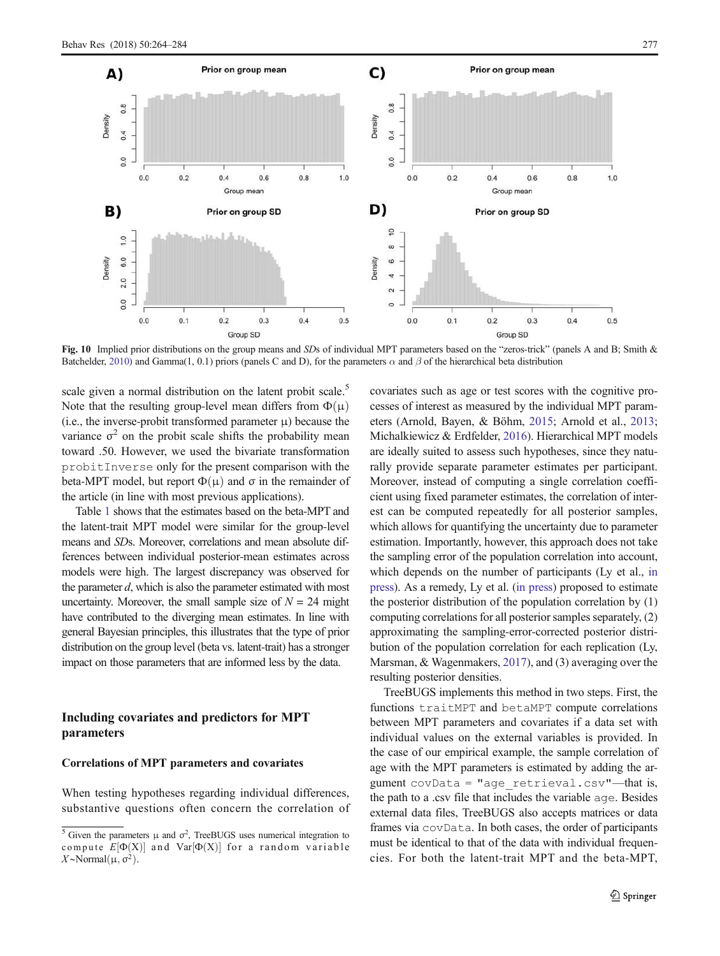<span id="page-13-0"></span>

Fig. 10 Implied prior distributions on the group means and *SD*s of individual MPT parameters based on the "zeros-trick" (panels A and B; Smith & Batchelder, [2010\)](#page-20-0) and Gamma(1, 0.1) priors (panels C and D), for the parameters  $\alpha$  and  $\beta$  of the hierarchical beta distribution

scale given a normal distribution on the latent probit scale.<sup>5</sup> Note that the resulting group-level mean differs from  $\Phi(\mu)$ (i.e., the inverse-probit transformed parameter  $\mu$ ) because the variance  $\sigma^2$  on the probit scale shifts the probability mean toward .50. However, we used the bivariate transformation probitInverse only for the present comparison with the beta-MPT model, but report  $\Phi(\mu)$  and  $\sigma$  in the remainder of the article (in line with most previous applications).

Table [1](#page-14-0) shows that the estimates based on the beta-MPT and the latent-trait MPT model were similar for the group-level means and *SD*s. Moreover, correlations and mean absolute differences between individual posterior-mean estimates across models were high. The largest discrepancy was observed for the parameter *d*, which is also the parameter estimated with most uncertainty. Moreover, the small sample size of  $N = 24$  might have contributed to the diverging mean estimates. In line with general Bayesian principles, this illustrates that the type of prior distribution on the group level (beta vs. latent-trait) has a stronger impact on those parameters that are informed less by the data.

# Including covariates and predictors for MPT parameters

# Correlations of MPT parameters and covariates

When testing hypotheses regarding individual differences, substantive questions often concern the correlation of covariates such as age or test scores with the cognitive processes of interest as measured by the individual MPT parameters (Arnold, Bayen, & Böhm, [2015;](#page-18-0) Arnold et al., [2013;](#page-18-0) Michalkiewicz & Erdfelder, [2016](#page-19-0)). Hierarchical MPT models are ideally suited to assess such hypotheses, since they naturally provide separate parameter estimates per participant. Moreover, instead of computing a single correlation coefficient using fixed parameter estimates, the correlation of interest can be computed repeatedly for all posterior samples, which allows for quantifying the uncertainty due to parameter estimation. Importantly, however, this approach does not take the sampling error of the population correlation into account, which depends on the number of participants (Ly et al., [in](#page-19-0) [press\)](#page-19-0). As a remedy, Ly et al. [\(in press](#page-19-0)) proposed to estimate the posterior distribution of the population correlation by (1) computing correlations for all posterior samples separately, (2) approximating the sampling-error-corrected posterior distribution of the population correlation for each replication (Ly, Marsman, & Wagenmakers, [2017\)](#page-19-0), and (3) averaging over the resulting posterior densities.

TreeBUGS implements this method in two steps. First, the functions traitMPT and betaMPT compute correlations between MPT parameters and covariates if a data set with individual values on the external variables is provided. In the case of our empirical example, the sample correlation of age with the MPT parameters is estimated by adding the argument  $covData = "age retrieval.csv" - that is,$ the path to a .csv file that includes the variable age. Besides external data files, TreeBUGS also accepts matrices or data frames via covData. In both cases, the order of participants must be identical to that of the data with individual frequencies. For both the latent-trait MPT and the beta-MPT,

<sup>&</sup>lt;sup>5</sup> Given the parameters  $\mu$  and  $\sigma^2$ , TreeBUGS uses numerical integration to compute  $E[\Phi(X)]$  and  $Var[\Phi(X)]$  for a random variable  $X \sim \text{Normal}(\mu, \sigma^2).$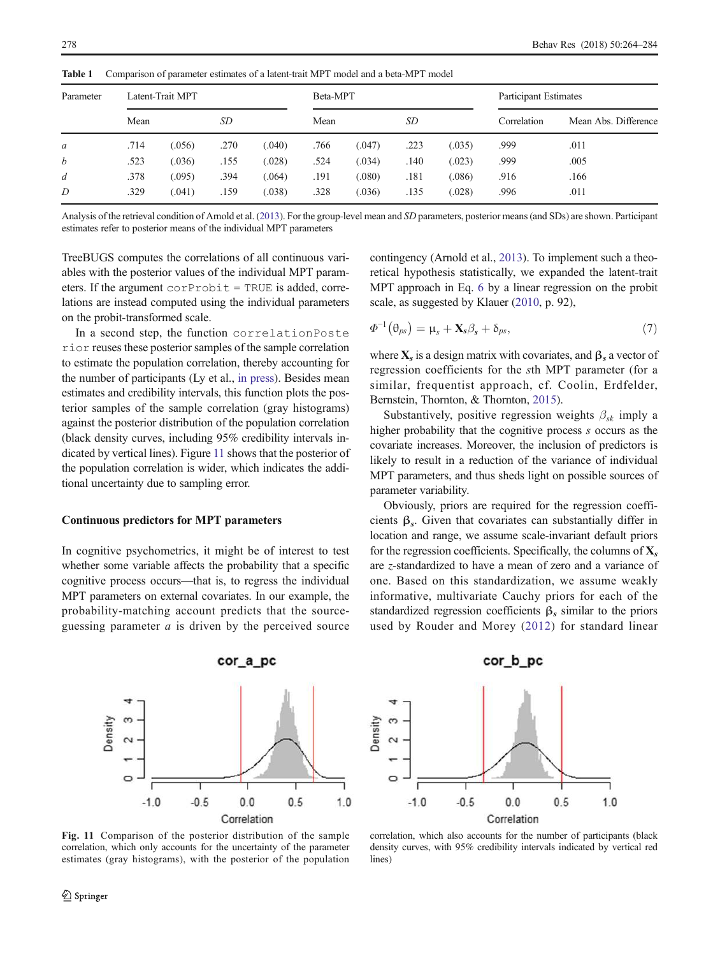| Parameter<br>$\mathfrak a$ | Latent-Trait MPT |        |      |        | Beta-MPT |        |      |        | Participant Estimates |                      |  |
|----------------------------|------------------|--------|------|--------|----------|--------|------|--------|-----------------------|----------------------|--|
|                            | Mean             |        | SD   |        | Mean     |        | SD   |        | Correlation           | Mean Abs. Difference |  |
|                            | .714             | (.056) | .270 | (.040) | .766     | (.047) | .223 | (.035) | .999                  | .011                 |  |
| b                          | .523             | (.036) | .155 | (.028) | .524     | (.034) | .140 | (.023) | .999                  | .005                 |  |
| d                          | .378             | (.095) | .394 | (.064) | .191     | (.080) | .181 | (.086) | .916                  | .166                 |  |
| D                          | .329             | (.041) | .159 | (.038) | .328     | (.036) | .135 | (.028) | .996                  | .011                 |  |

<span id="page-14-0"></span>Table 1 Comparison of parameter estimates of a latent-trait MPT model and a beta-MPT model

Analysis of the retrieval condition of Arnold et al. ([2013](#page-18-0)). For the group-level mean and *SD* parameters, posterior means (and SDs) are shown. Participant estimates refer to posterior means of the individual MPT parameters

TreeBUGS computes the correlations of all continuous variables with the posterior values of the individual MPT parameters. If the argument  $corProbit = TRUE$  is added, correlations are instead computed using the individual parameters on the probit-transformed scale.

In a second step, the function correlationPoste rior reuses these posterior samples of the sample correlation to estimate the population correlation, thereby accounting for the number of participants (Ly et al., [in press\)](#page-19-0). Besides mean estimates and credibility intervals, this function plots the posterior samples of the sample correlation (gray histograms) against the posterior distribution of the population correlation (black density curves, including 95% credibility intervals indicated by vertical lines). Figure 11 shows that the posterior of the population correlation is wider, which indicates the additional uncertainty due to sampling error.

## Continuous predictors for MPT parameters

In cognitive psychometrics, it might be of interest to test whether some variable affects the probability that a specific cognitive process occurs—that is, to regress the individual MPT parameters on external covariates. In our example, the probability-matching account predicts that the sourceguessing parameter *a* is driven by the perceived source contingency (Arnold et al., [2013](#page-18-0)). To implement such a theoretical hypothesis statistically, we expanded the latent-trait MPT approach in Eq. [6](#page-4-0) by a linear regression on the probit scale, as suggested by Klauer ([2010](#page-19-0), p. 92),

$$
\Phi^{-1}(\theta_{ps}) = \mu_s + \mathbf{X}_s \beta_s + \delta_{ps},\tag{7}
$$

where  $X_s$  is a design matrix with covariates, and  $\beta_s$  a vector of regression coefficients for the *s*th MPT parameter (for a similar, frequentist approach, cf. Coolin, Erdfelder, Bernstein, Thornton, & Thornton, [2015](#page-19-0)).

Substantively, positive regression weights  $\beta_{sk}$  imply a higher probability that the cognitive process *s* occurs as the covariate increases. Moreover, the inclusion of predictors is likely to result in a reduction of the variance of individual MPT parameters, and thus sheds light on possible sources of parameter variability.

Obviously, priors are required for the regression coefficients  $\beta_s$ . Given that covariates can substantially differ in location and range, we assume scale-invariant default priors for the regression coefficients. Specifically, the columns of  $\mathbf{X}_s$ are *z*-standardized to have a mean of zero and a variance of one. Based on this standardization, we assume weakly informative, multivariate Cauchy priors for each of the standardized regression coefficients  $\beta_s$  similar to the priors used by Rouder and Morey ([2012\)](#page-19-0) for standard linear



Fig. 11 Comparison of the posterior distribution of the sample correlation, which only accounts for the uncertainty of the parameter estimates (gray histograms), with the posterior of the population



correlation, which also accounts for the number of participants (black density curves, with 95% credibility intervals indicated by vertical red lines)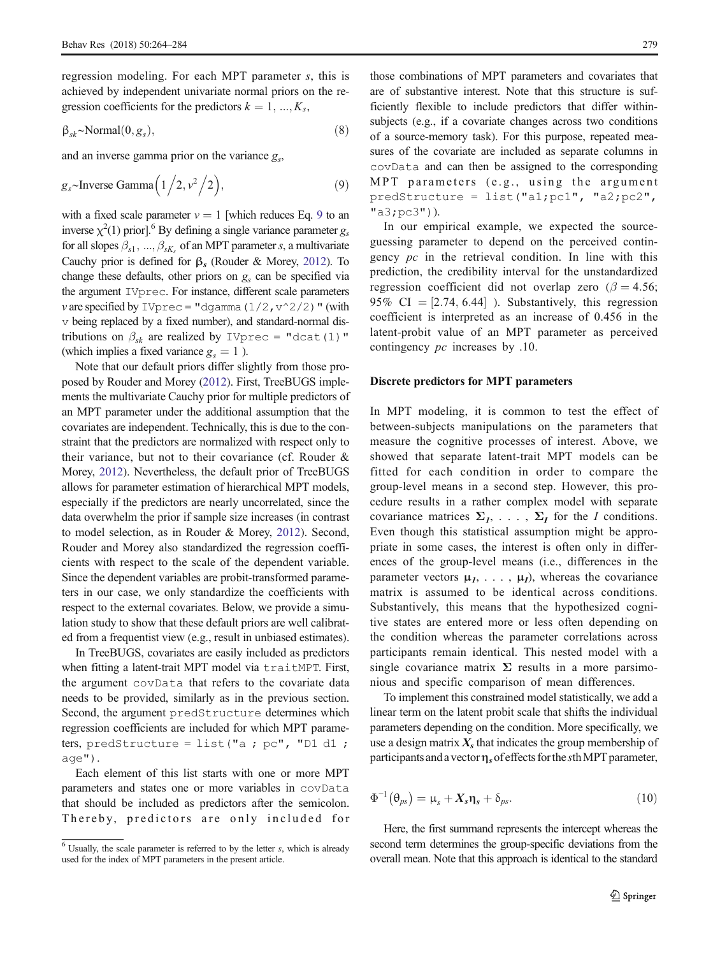regression modeling. For each MPT parameter *s*, this is achieved by independent univariate normal priors on the regression coefficients for the predictors  $k = 1, ..., K_s$ ,

$$
\beta_{sk} \sim \text{Normal}(0, g_s),\tag{8}
$$

and an inverse gamma prior on the variance *g<sup>s</sup>* ,

$$
g_s \sim \text{Inverse Gamma}\left(1/2, v^2/2\right),\tag{9}
$$

with a fixed scale parameter  $v = 1$  [which reduces Eq. 9 to an inverse  $\chi^2(1)$  prior].<sup>6</sup> By defining a single variance parameter *g*<sub>*s*</sub> for all slopes  $\beta_{s1}, \dots, \beta_{sK_s}$  of an MPT parameter *s*, a multivariate Cauchy prior is defined for  $β_s$  (Rouder & Morey, [2012\)](#page-19-0). To change these defaults, other priors on *g<sup>s</sup>* can be specified via the argument IVprec. For instance, different scale parameters *v* are specified by IVprec = "dgamma  $(1/2, v^2/2)$ " (with v being replaced by a fixed number), and standard-normal distributions on  $\beta_{sk}$  are realized by IVprec = "dcat(1)" (which implies a fixed variance  $g<sub>s</sub> = 1$ ).

Note that our default priors differ slightly from those proposed by Rouder and Morey ([2012](#page-19-0)). First, TreeBUGS implements the multivariate Cauchy prior for multiple predictors of an MPT parameter under the additional assumption that the covariates are independent. Technically, this is due to the constraint that the predictors are normalized with respect only to their variance, but not to their covariance (cf. Rouder & Morey, [2012\)](#page-19-0). Nevertheless, the default prior of TreeBUGS allows for parameter estimation of hierarchical MPT models, especially if the predictors are nearly uncorrelated, since the data overwhelm the prior if sample size increases (in contrast to model selection, as in Rouder & Morey, [2012\)](#page-19-0). Second, Rouder and Morey also standardized the regression coefficients with respect to the scale of the dependent variable. Since the dependent variables are probit-transformed parameters in our case, we only standardize the coefficients with respect to the external covariates. Below, we provide a simulation study to show that these default priors are well calibrated from a frequentist view (e.g., result in unbiased estimates).

In TreeBUGS, covariates are easily included as predictors when fitting a latent-trait MPT model via traitMPT. First, the argument covData that refers to the covariate data needs to be provided, similarly as in the previous section. Second, the argument predStructure determines which regression coefficients are included for which MPT parameters, predStructure = list("a ; pc", "D1 d1 ; age").

Each element of this list starts with one or more MPT parameters and states one or more variables in covData that should be included as predictors after the semicolon. Thereby, predictors are only included for

those combinations of MPT parameters and covariates that are of substantive interest. Note that this structure is sufficiently flexible to include predictors that differ withinsubjects (e.g., if a covariate changes across two conditions of a source-memory task). For this purpose, repeated measures of the covariate are included as separate columns in covData and can then be assigned to the corresponding MPT parameters (e.g., using the argument predStructure = list("a1;pc1", "a2;pc2", "a3;pc3")).

In our empirical example, we expected the sourceguessing parameter to depend on the perceived contingency *pc* in the retrieval condition. In line with this prediction, the credibility interval for the unstandardized regression coefficient did not overlap zero ( $\beta = 4.56$ ; 95% CI  $=$  [2.74, 6.44] ). Substantively, this regression coefficient is interpreted as an increase of 0.456 in the latent-probit value of an MPT parameter as perceived contingency *pc* increases by .10.

#### Discrete predictors for MPT parameters

In MPT modeling, it is common to test the effect of between-subjects manipulations on the parameters that measure the cognitive processes of interest. Above, we showed that separate latent-trait MPT models can be fitted for each condition in order to compare the group-level means in a second step. However, this procedure results in a rather complex model with separate covariance matrices  $\Sigma_I, \ldots, \Sigma_I$  for the *I* conditions. Even though this statistical assumption might be appropriate in some cases, the interest is often only in differences of the group-level means (i.e., differences in the parameter vectors  $\mu_1, \ldots, \mu_l$ , whereas the covariance matrix is assumed to be identical across conditions. Substantively, this means that the hypothesized cognitive states are entered more or less often depending on the condition whereas the parameter correlations across participants remain identical. This nested model with a single covariance matrix  $\Sigma$  results in a more parsimonious and specific comparison of mean differences.

To implement this constrained model statistically, we add a linear term on the latent probit scale that shifts the individual parameters depending on the condition. More specifically, we use a design matrix  $X_s$  that indicates the group membership of participants and a vectorηsofeffects forthe *s*thMPT parameter,

$$
\Phi^{-1}(\theta_{ps}) = \mu_s + X_s \eta_s + \delta_{ps}.
$$
\n(10)

Here, the first summand represents the intercept whereas the second term determines the group-specific deviations from the overall mean. Note that this approach is identical to the standard

 $6$  Usually, the scale parameter is referred to by the letter  $s$ , which is already used for the index of MPT parameters in the present article.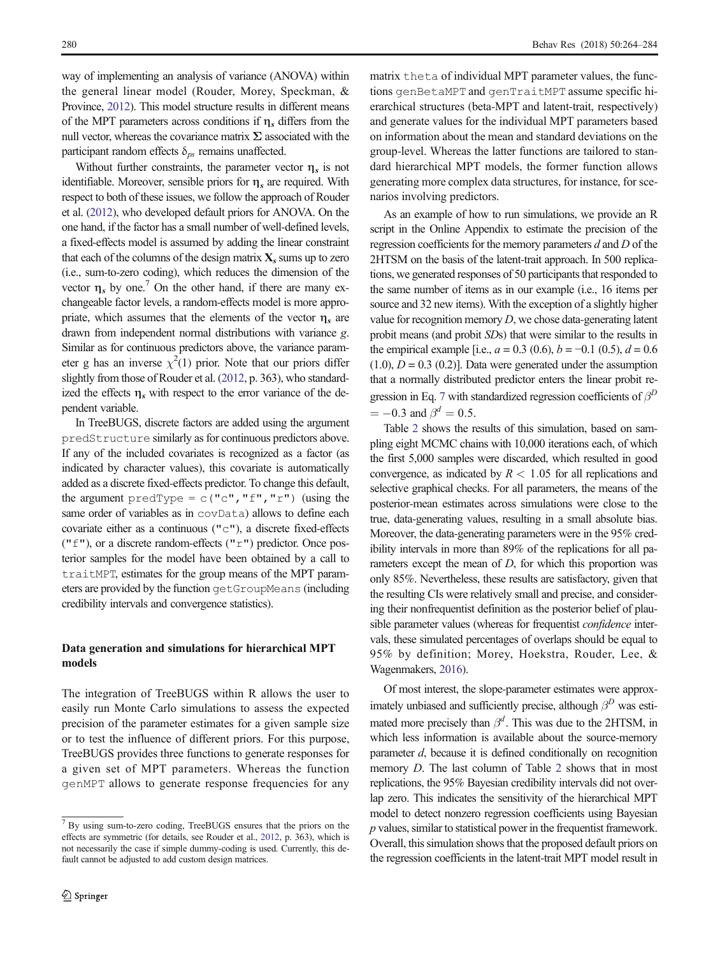way of implementing an analysis of variance (ANOVA) within the general linear model (Rouder, Morey, Speckman, & Province, [2012](#page-19-0)). This model structure results in different means of the MPT parameters across conditions if  $\eta_s$  differs from the null vector, whereas the covariance matrix  $\Sigma$  associated with the participant random effects  $\delta_{ps}$  remains unaffected.

Without further constraints, the parameter vector  $\eta_s$  is not identifiable. Moreover, sensible priors for  $\eta_s$  are required. With respect to both of these issues, we follow the approach of Rouder et al. [\(2012](#page-19-0)), who developed default priors for ANOVA. On the one hand, if the factor has a small number of well-defined levels, a fixed-effects model is assumed by adding the linear constraint that each of the columns of the design matrix  $X_s$  sums up to zero (i.e., sum-to-zero coding), which reduces the dimension of the vector  $\eta_s$  by one.<sup>7</sup> On the other hand, if there are many exchangeable factor levels, a random-effects model is more appropriate, which assumes that the elements of the vector  $\eta_s$  are drawn from independent normal distributions with variance *g*. Similar as for continuous predictors above, the variance parameter g has an inverse  $\chi^2(1)$  prior. Note that our priors differ slightly from those of Rouder et al. [\(2012,](#page-19-0) p. 363), who standardized the effects  $\eta_s$  with respect to the error variance of the dependent variable.

In TreeBUGS, discrete factors are added using the argument predStructure similarly as for continuous predictors above. If any of the included covariates is recognized as a factor (as indicated by character values), this covariate is automatically added as a discrete fixed-effects predictor. To change this default, the argument predType =  $c("c", "f", "r")$  (using the same order of variables as in covData) allows to define each covariate either as a continuous ("c"), a discrete fixed-effects (" $f$ "), or a discrete random-effects (" $r$ ") predictor. Once posterior samples for the model have been obtained by a call to traitMPT, estimates for the group means of the MPT parameters are provided by the function getGroupMeans (including credibility intervals and convergence statistics).

# Data generation and simulations for hierarchical MPT models

The integration of TreeBUGS within R allows the user to easily run Monte Carlo simulations to assess the expected precision of the parameter estimates for a given sample size or to test the influence of different priors. For this purpose, TreeBUGS provides three functions to generate responses for a given set of MPT parameters. Whereas the function genMPT allows to generate response frequencies for any

matrix theta of individual MPT parameter values, the functions genBetaMPT and genTraitMPT assume specific hierarchical structures (beta-MPT and latent-trait, respectively) and generate values for the individual MPT parameters based on information about the mean and standard deviations on the group-level. Whereas the latter functions are tailored to standard hierarchical MPT models, the former function allows generating more complex data structures, for instance, for scenarios involving predictors.

As an example of how to run simulations, we provide an R script in the Online Appendix to estimate the precision of the regression coefficients for the memory parameters *d* and *D* of the 2HTSM on the basis of the latent-trait approach. In 500 replications, we generated responses of 50 participants that responded to the same number of items as in our example (i.e., 16 items per source and 32 new items). With the exception of a slightly higher value for recognition memory *D*, we chose data-generating latent probit means (and probit *SD*s) that were similar to the results in the empirical example [i.e.,  $a = 0.3$  (0.6),  $b = -0.1$  (0.5),  $d = 0.6$  $(1.0)$ ,  $D = 0.3$   $(0.2)$ ]. Data were generated under the assumption that a normally distributed predictor enters the linear probit regression in Eq. [7](#page-14-0) with standardized regression coefficients of β *D*  $= -0.3$  and  $\beta^d = 0.5$ .

Table [2](#page-17-0) shows the results of this simulation, based on sampling eight MCMC chains with 10,000 iterations each, of which the first 5,000 samples were discarded, which resulted in good convergence, as indicated by  $R < 1.05$  for all replications and selective graphical checks. For all parameters, the means of the posterior-mean estimates across simulations were close to the true, data-generating values, resulting in a small absolute bias. Moreover, the data-generating parameters were in the 95% credibility intervals in more than 89% of the replications for all parameters except the mean of *D*, for which this proportion was only 85%. Nevertheless, these results are satisfactory, given that the resulting CIs were relatively small and precise, and considering their nonfrequentist definition as the posterior belief of plausible parameter values (whereas for frequentist *confidence* intervals, these simulated percentages of overlaps should be equal to 95% by definition; Morey, Hoekstra, Rouder, Lee, & Wagenmakers, [2016](#page-19-0)).

Of most interest, the slope-parameter estimates were approximately unbiased and sufficiently precise, although  $\beta^D$  was estimated more precisely than  $\beta^d$ . This was due to the 2HTSM, in which less information is available about the source-memory parameter *d*, because it is defined conditionally on recognition memory *D*. The last column of Table [2](#page-17-0) shows that in most replications, the 95% Bayesian credibility intervals did not overlap zero. This indicates the sensitivity of the hierarchical MPT model to detect nonzero regression coefficients using Bayesian *p* values, similar to statistical power in the frequentist framework. Overall, this simulation shows that the proposed default priors on the regression coefficients in the latent-trait MPT model result in

<sup>7</sup> By using sum-to-zero coding, TreeBUGS ensures that the priors on the effects are symmetric (for details, see Rouder et al., [2012](#page-19-0), p. 363), which is not necessarily the case if simple dummy-coding is used. Currently, this default cannot be adjusted to add custom design matrices.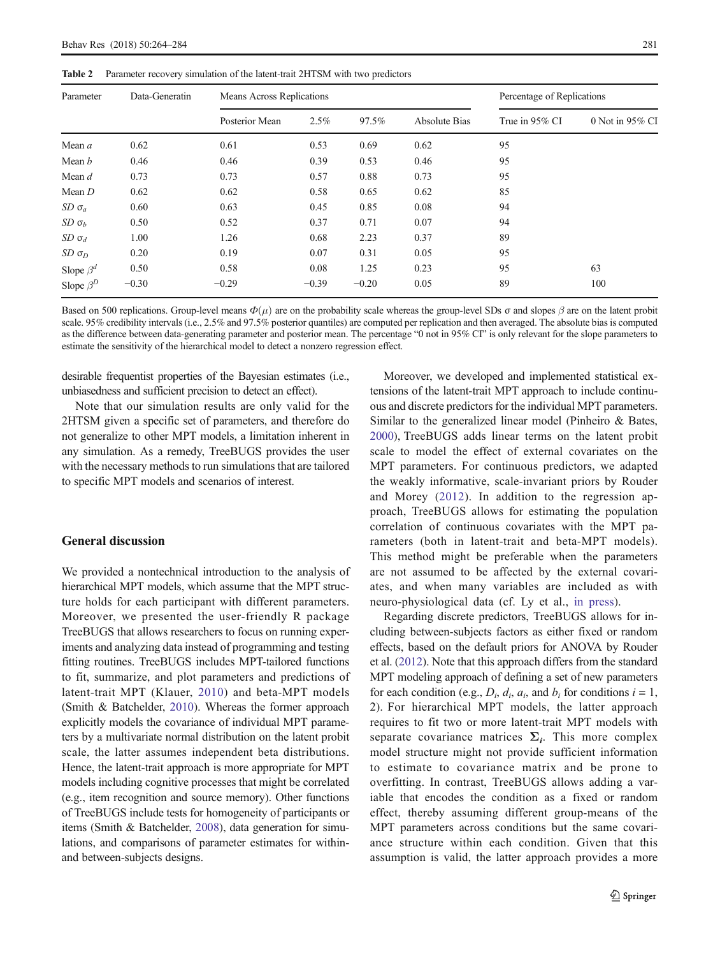<span id="page-17-0"></span>Table 2 Parameter recovery simulation of the latent-trait 2HTSM with two predictors

| Parameter       | Data-Generatin | Means Across Replications |         | Percentage of Replications |                      |                |                 |
|-----------------|----------------|---------------------------|---------|----------------------------|----------------------|----------------|-----------------|
|                 |                | Posterior Mean            | 2.5%    | 97.5%                      | <b>Absolute Bias</b> | True in 95% CI | 0 Not in 95% CI |
| Mean a          | 0.62           | 0.61                      | 0.53    | 0.69                       | 0.62                 | 95             |                 |
| Mean b          | 0.46           | 0.46                      | 0.39    | 0.53                       | 0.46                 | 95             |                 |
| Mean d          | 0.73           | 0.73                      | 0.57    | 0.88                       | 0.73                 | 95             |                 |
| Mean D          | 0.62           | 0.62                      | 0.58    | 0.65                       | 0.62                 | 85             |                 |
| $SD \sigma_a$   | 0.60           | 0.63                      | 0.45    | 0.85                       | 0.08                 | 94             |                 |
| $SD \sigma_h$   | 0.50           | 0.52                      | 0.37    | 0.71                       | 0.07                 | 94             |                 |
| $SD \sigma_d$   | 1.00           | 1.26                      | 0.68    | 2.23                       | 0.37                 | 89             |                 |
| $SD \sigma_D$   | 0.20           | 0.19                      | 0.07    | 0.31                       | 0.05                 | 95             |                 |
| Slope $\beta^d$ | 0.50           | 0.58                      | 0.08    | 1.25                       | 0.23                 | 95             | 63              |
| Slope $\beta^D$ | $-0.30$        | $-0.29$                   | $-0.39$ | $-0.20$                    | 0.05                 | 89             | 100             |
|                 |                |                           |         |                            |                      |                |                 |

Based on 500 replications. Group-level means  $\Phi(\mu)$  are on the probability scale whereas the group-level SDs  $\sigma$  and slopes  $\beta$  are on the latent probit scale. 95% credibility intervals (i.e., 2.5% and 97.5% posterior quantiles) are computed per replication and then averaged. The absolute bias is computed as the difference between data-generating parameter and posterior mean. The percentage "0 not in 95% CI" is only relevant for the slope parameters to estimate the sensitivity of the hierarchical model to detect a nonzero regression effect.

desirable frequentist properties of the Bayesian estimates (i.e., unbiasedness and sufficient precision to detect an effect).

Note that our simulation results are only valid for the 2HTSM given a specific set of parameters, and therefore do not generalize to other MPT models, a limitation inherent in any simulation. As a remedy, TreeBUGS provides the user with the necessary methods to run simulations that are tailored to specific MPT models and scenarios of interest.

## General discussion

We provided a nontechnical introduction to the analysis of hierarchical MPT models, which assume that the MPT structure holds for each participant with different parameters. Moreover, we presented the user-friendly R package TreeBUGS that allows researchers to focus on running experiments and analyzing data instead of programming and testing fitting routines. TreeBUGS includes MPT-tailored functions to fit, summarize, and plot parameters and predictions of latent-trait MPT (Klauer, [2010](#page-19-0)) and beta-MPT models (Smith & Batchelder, [2010](#page-20-0)). Whereas the former approach explicitly models the covariance of individual MPT parameters by a multivariate normal distribution on the latent probit scale, the latter assumes independent beta distributions. Hence, the latent-trait approach is more appropriate for MPT models including cognitive processes that might be correlated (e.g., item recognition and source memory). Other functions of TreeBUGS include tests for homogeneity of participants or items (Smith & Batchelder, [2008](#page-20-0)), data generation for simulations, and comparisons of parameter estimates for withinand between-subjects designs.

Moreover, we developed and implemented statistical extensions of the latent-trait MPT approach to include continuous and discrete predictors for the individual MPT parameters. Similar to the generalized linear model (Pinheiro & Bates, [2000\)](#page-19-0), TreeBUGS adds linear terms on the latent probit scale to model the effect of external covariates on the MPT parameters. For continuous predictors, we adapted the weakly informative, scale-invariant priors by Rouder and Morey ([2012](#page-19-0)). In addition to the regression approach, TreeBUGS allows for estimating the population correlation of continuous covariates with the MPT parameters (both in latent-trait and beta-MPT models). This method might be preferable when the parameters are not assumed to be affected by the external covariates, and when many variables are included as with neuro-physiological data (cf. Ly et al., [in press](#page-19-0)).

Regarding discrete predictors, TreeBUGS allows for including between-subjects factors as either fixed or random effects, based on the default priors for ANOVA by Rouder et al. [\(2012\)](#page-19-0). Note that this approach differs from the standard MPT modeling approach of defining a set of new parameters for each condition (e.g.,  $D_i$ ,  $d_i$ ,  $a_i$ , and  $b_i$  for conditions  $i = 1$ , 2). For hierarchical MPT models, the latter approach requires to fit two or more latent-trait MPT models with separate covariance matrices  $\Sigma_i$ . This more complex model structure might not provide sufficient information to estimate to covariance matrix and be prone to overfitting. In contrast, TreeBUGS allows adding a variable that encodes the condition as a fixed or random effect, thereby assuming different group-means of the MPT parameters across conditions but the same covariance structure within each condition. Given that this assumption is valid, the latter approach provides a more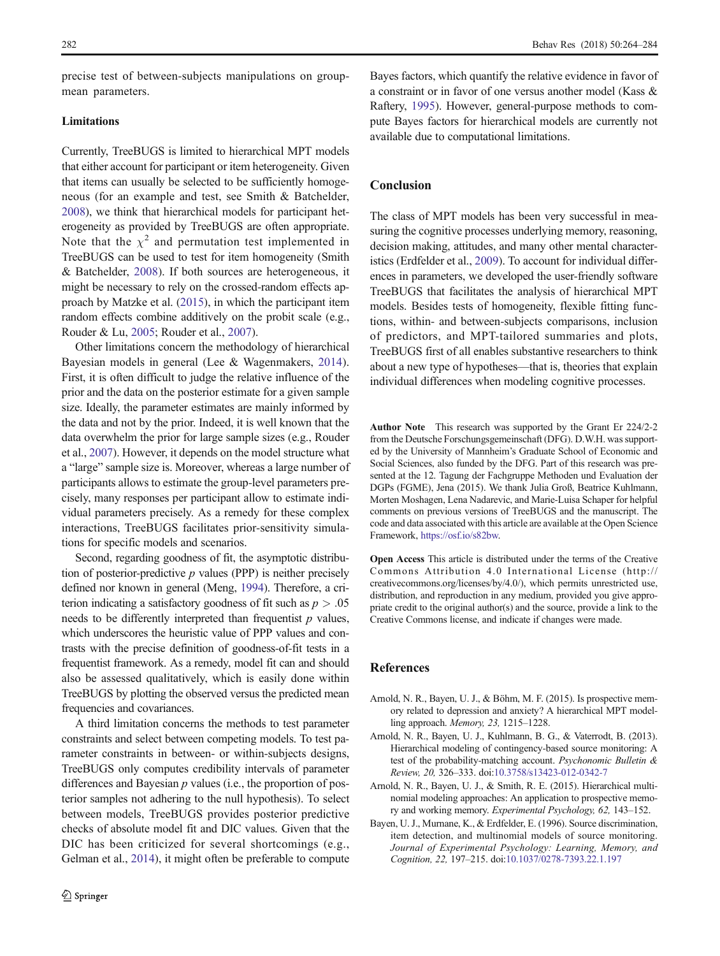<span id="page-18-0"></span>precise test of between-subjects manipulations on groupmean parameters.

## Limitations

Currently, TreeBUGS is limited to hierarchical MPT models that either account for participant or item heterogeneity. Given that items can usually be selected to be sufficiently homogeneous (for an example and test, see Smith & Batchelder, [2008\)](#page-20-0), we think that hierarchical models for participant heterogeneity as provided by TreeBUGS are often appropriate. Note that the  $\chi^2$  and permutation test implemented in TreeBUGS can be used to test for item homogeneity (Smith & Batchelder, [2008\)](#page-20-0). If both sources are heterogeneous, it might be necessary to rely on the crossed-random effects approach by Matzke et al. [\(2015\)](#page-19-0), in which the participant item random effects combine additively on the probit scale (e.g., Rouder & Lu, [2005](#page-19-0); Rouder et al., [2007](#page-19-0)).

Other limitations concern the methodology of hierarchical Bayesian models in general (Lee & Wagenmakers, [2014](#page-19-0)). First, it is often difficult to judge the relative influence of the prior and the data on the posterior estimate for a given sample size. Ideally, the parameter estimates are mainly informed by the data and not by the prior. Indeed, it is well known that the data overwhelm the prior for large sample sizes (e.g., Rouder et al., [2007](#page-19-0)). However, it depends on the model structure what a "large" sample size is. Moreover, whereas a large number of participants allows to estimate the group-level parameters precisely, many responses per participant allow to estimate individual parameters precisely. As a remedy for these complex interactions, TreeBUGS facilitates prior-sensitivity simulations for specific models and scenarios.

Second, regarding goodness of fit, the asymptotic distribution of posterior-predictive *p* values (PPP) is neither precisely defined nor known in general (Meng, [1994](#page-19-0)). Therefore, a criterion indicating a satisfactory goodness of fit such as  $p > .05$ needs to be differently interpreted than frequentist *p* values, which underscores the heuristic value of PPP values and contrasts with the precise definition of goodness-of-fit tests in a frequentist framework. As a remedy, model fit can and should also be assessed qualitatively, which is easily done within TreeBUGS by plotting the observed versus the predicted mean frequencies and covariances.

A third limitation concerns the methods to test parameter constraints and select between competing models. To test parameter constraints in between- or within-subjects designs, TreeBUGS only computes credibility intervals of parameter differences and Bayesian *p* values (i.e., the proportion of posterior samples not adhering to the null hypothesis). To select between models, TreeBUGS provides posterior predictive checks of absolute model fit and DIC values. Given that the DIC has been criticized for several shortcomings (e.g., Gelman et al., [2014\)](#page-19-0), it might often be preferable to compute Bayes factors, which quantify the relative evidence in favor of a constraint or in favor of one versus another model (Kass & Raftery, [1995](#page-19-0)). However, general-purpose methods to compute Bayes factors for hierarchical models are currently not available due to computational limitations.

# Conclusion

The class of MPT models has been very successful in measuring the cognitive processes underlying memory, reasoning, decision making, attitudes, and many other mental characteristics (Erdfelder et al., [2009](#page-19-0)). To account for individual differences in parameters, we developed the user-friendly software TreeBUGS that facilitates the analysis of hierarchical MPT models. Besides tests of homogeneity, flexible fitting functions, within- and between-subjects comparisons, inclusion of predictors, and MPT-tailored summaries and plots, TreeBUGS first of all enables substantive researchers to think about a new type of hypotheses—that is, theories that explain individual differences when modeling cognitive processes.

Author Note This research was supported by the Grant Er 224/2-2 from the Deutsche Forschungsgemeinschaft (DFG). D.W.H. was supported by the University of Mannheim's Graduate School of Economic and Social Sciences, also funded by the DFG. Part of this research was presented at the 12. Tagung der Fachgruppe Methoden und Evaluation der DGPs (FGME), Jena (2015). We thank Julia Groß, Beatrice Kuhlmann, Morten Moshagen, Lena Nadarevic, and Marie-Luisa Schaper for helpful comments on previous versions of TreeBUGS and the manuscript. The code and data associated with this article are available at the Open Science Framework, [https://osf.io/s82bw.](https://osf.io/s82bw)

Open Access This article is distributed under the terms of the Creative Commons Attribution 4.0 International License (http:// creativecommons.org/licenses/by/4.0/), which permits unrestricted use, distribution, and reproduction in any medium, provided you give appropriate credit to the original author(s) and the source, provide a link to the Creative Commons license, and indicate if changes were made.

## References

- Arnold, N. R., Bayen, U. J., & Böhm, M. F. (2015). Is prospective memory related to depression and anxiety? A hierarchical MPT modelling approach. *Memory, 23,* 1215–1228.
- Arnold, N. R., Bayen, U. J., Kuhlmann, B. G., & Vaterrodt, B. (2013). Hierarchical modeling of contingency-based source monitoring: A test of the probability-matching account. *Psychonomic Bulletin & Review, 20,* 326–333. doi[:10.3758/s13423-012-0342-7](http://dx.doi.org/10.3758/s13423-012-0342-7)
- Arnold, N. R., Bayen, U. J., & Smith, R. E. (2015). Hierarchical multinomial modeling approaches: An application to prospective memory and working memory. *Experimental Psychology, 62,* 143–152.
- Bayen, U. J., Murnane, K., & Erdfelder, E. (1996). Source discrimination, item detection, and multinomial models of source monitoring. *Journal of Experimental Psychology: Learning, Memory, and Cognition, 22,* 197–215. doi:[10.1037/0278-7393.22.1.197](http://dx.doi.org/10.1037/0278-7393.22.1.197)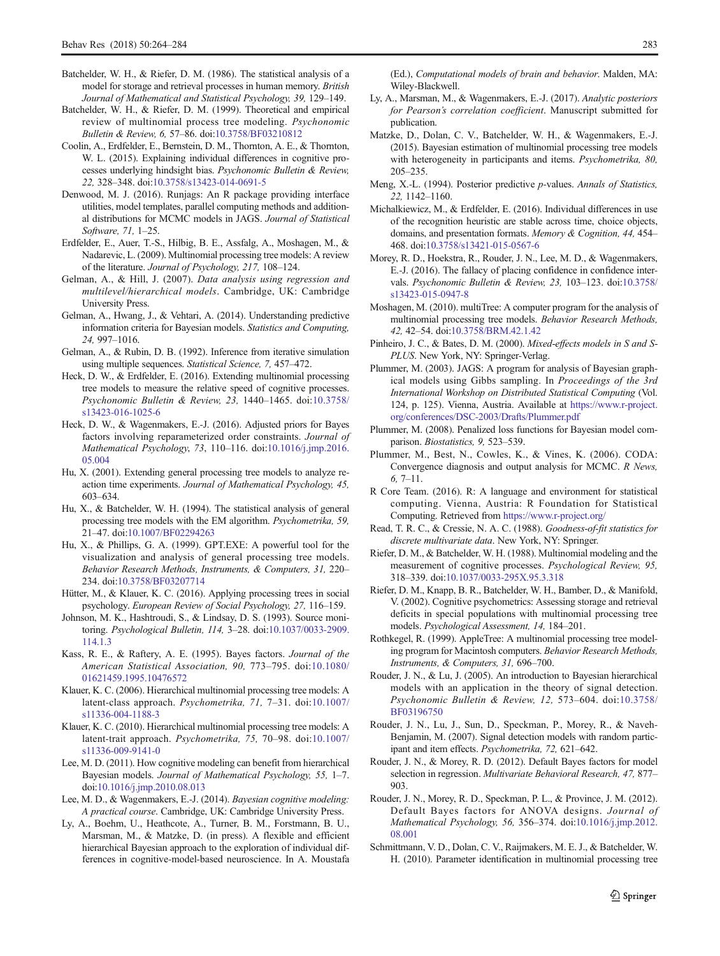- <span id="page-19-0"></span>Batchelder, W. H., & Riefer, D. M. (1986). The statistical analysis of a model for storage and retrieval processes in human memory. *British Journal of Mathematical and Statistical Psychology, 39,* 129–149.
- Batchelder, W. H., & Riefer, D. M. (1999). Theoretical and empirical review of multinomial process tree modeling. *Psychonomic Bulletin & Review, 6,* 57–86. doi[:10.3758/BF03210812](http://dx.doi.org/10.3758/BF03210812)
- Coolin, A., Erdfelder, E., Bernstein, D. M., Thornton, A. E., & Thornton, W. L. (2015). Explaining individual differences in cognitive processes underlying hindsight bias. *Psychonomic Bulletin & Review, 22,* 328–348. doi[:10.3758/s13423-014-0691-5](http://dx.doi.org/10.3758/s13423-014-0691-5)
- Denwood, M. J. (2016). Runjags: An R package providing interface utilities, model templates, parallel computing methods and additional distributions for MCMC models in JAGS. *Journal of Statistical Software, 71,* 1–25.
- Erdfelder, E., Auer, T.-S., Hilbig, B. E., Assfalg, A., Moshagen, M., & Nadarevic, L. (2009). Multinomial processing tree models: A review of the literature. *Journal of Psychology, 217,* 108–124.
- Gelman, A., & Hill, J. (2007). *Data analysis using regression and multilevel/hierarchical models*. Cambridge, UK: Cambridge University Press.
- Gelman, A., Hwang, J., & Vehtari, A. (2014). Understanding predictive information criteria for Bayesian models. *Statistics and Computing, 24,* 997–1016.
- Gelman, A., & Rubin, D. B. (1992). Inference from iterative simulation using multiple sequences. *Statistical Science, 7,* 457–472.
- Heck, D. W., & Erdfelder, E. (2016). Extending multinomial processing tree models to measure the relative speed of cognitive processes. *Psychonomic Bulletin & Review, 23,* 1440–1465. doi:[10.3758/](http://dx.doi.org/10.3758/s13423-016-1025-6) [s13423-016-1025-6](http://dx.doi.org/10.3758/s13423-016-1025-6)
- Heck, D. W., & Wagenmakers, E.-J. (2016). Adjusted priors for Bayes factors involving reparameterized order constraints. *Journal of Mathematical Psychology*, *73*, 110–116. doi[:10.1016/j.jmp.2016.](http://dx.doi.org/10.1016/j.jmp.2016.05.004) [05.004](http://dx.doi.org/10.1016/j.jmp.2016.05.004)
- Hu, X. (2001). Extending general processing tree models to analyze reaction time experiments. *Journal of Mathematical Psychology, 45,* 603–634.
- Hu, X., & Batchelder, W. H. (1994). The statistical analysis of general processing tree models with the EM algorithm. *Psychometrika, 59,* 21–47. doi:[10.1007/BF02294263](http://dx.doi.org/10.1007/BF02294263)
- Hu, X., & Phillips, G. A. (1999). GPT.EXE: A powerful tool for the visualization and analysis of general processing tree models. *Behavior Research Methods, Instruments, & Computers, 31,* 220– 234. doi[:10.3758/BF03207714](http://dx.doi.org/10.3758/BF03207714)
- Hütter, M., & Klauer, K. C. (2016). Applying processing trees in social psychology. *European Review of Social Psychology, 27,* 116–159.
- Johnson, M. K., Hashtroudi, S., & Lindsay, D. S. (1993). Source monitoring. *Psychological Bulletin, 114,* 3–28. doi[:10.1037/0033-2909.](http://dx.doi.org/10.1037/0033-2909.114.1.3) [114.1.3](http://dx.doi.org/10.1037/0033-2909.114.1.3)
- Kass, R. E., & Raftery, A. E. (1995). Bayes factors. *Journal of the American Statistical Association, 90,* 773–795. doi:[10.1080/](http://dx.doi.org/10.1080/01621459.1995.10476572) [01621459.1995.10476572](http://dx.doi.org/10.1080/01621459.1995.10476572)
- Klauer, K. C. (2006). Hierarchical multinomial processing tree models: A latent-class approach. *Psychometrika, 71,* 7–31. doi:[10.1007/](http://dx.doi.org/10.1007/s11336-004-1188-3) [s11336-004-1188-3](http://dx.doi.org/10.1007/s11336-004-1188-3)
- Klauer, K. C. (2010). Hierarchical multinomial processing tree models: A latent-trait approach. *Psychometrika, 75,* 70–98. doi[:10.1007/](http://dx.doi.org/10.1007/s11336-009-9141-0) [s11336-009-9141-0](http://dx.doi.org/10.1007/s11336-009-9141-0)
- Lee, M. D. (2011). How cognitive modeling can benefit from hierarchical Bayesian models. *Journal of Mathematical Psychology, 55,* 1–7. doi:[10.1016/j.jmp.2010.08.013](http://dx.doi.org/10.1016/j.jmp.2010.08.013)
- Lee, M. D., & Wagenmakers, E.-J. (2014). *Bayesian cognitive modeling: A practical course*. Cambridge, UK: Cambridge University Press.
- Ly, A., Boehm, U., Heathcote, A., Turner, B. M., Forstmann, B. U., Marsman, M., & Matzke, D. (in press). A flexible and efficient hierarchical Bayesian approach to the exploration of individual differences in cognitive-model-based neuroscience. In A. Moustafa

(Ed.), *Computational models of brain and behavior*. Malden, MA: Wiley-Blackwell.

- Ly, A., Marsman, M., & Wagenmakers, E.-J. (2017). *Analytic posteriors for Pearson*'*s correlation coefficient*. Manuscript submitted for publication.
- Matzke, D., Dolan, C. V., Batchelder, W. H., & Wagenmakers, E.-J. (2015). Bayesian estimation of multinomial processing tree models with heterogeneity in participants and items. *Psychometrika, 80,* 205–235.
- Meng, X.-L. (1994). Posterior predictive *p*-values. *Annals of Statistics, 22,* 1142–1160.
- Michalkiewicz, M., & Erdfelder, E. (2016). Individual differences in use of the recognition heuristic are stable across time, choice objects, domains, and presentation formats. *Memory & Cognition, 44,* 454– 468. doi[:10.3758/s13421-015-0567-6](http://dx.doi.org/10.3758/s13421-015-0567-6)
- Morey, R. D., Hoekstra, R., Rouder, J. N., Lee, M. D., & Wagenmakers, E.-J. (2016). The fallacy of placing confidence in confidence intervals. *Psychonomic Bulletin & Review, 23,* 103–123. doi[:10.3758/](http://dx.doi.org/10.3758/s13423-015-0947-8) [s13423-015-0947-8](http://dx.doi.org/10.3758/s13423-015-0947-8)
- Moshagen, M. (2010). multiTree: A computer program for the analysis of multinomial processing tree models. *Behavior Research Methods, 42,* 42–54. doi[:10.3758/BRM.42.1.42](http://dx.doi.org/10.3758/BRM.42.1.42)
- Pinheiro, J. C., & Bates, D. M. (2000). *Mixed-effects models in S and S-PLUS*. New York, NY: Springer-Verlag.
- Plummer, M. (2003). JAGS: A program for analysis of Bayesian graphical models using Gibbs sampling. In *Proceedings of the 3rd International Workshop on Distributed Statistical Computing* (Vol. 124, p. 125). Vienna, Austria. Available at [https://www.r-project.](https://www.r-project.org/conferences/DSC-2003/Drafts/Plummer.pdf) [org/conferences/DSC-2003/Drafts/Plummer.pdf](https://www.r-project.org/conferences/DSC-2003/Drafts/Plummer.pdf)
- Plummer, M. (2008). Penalized loss functions for Bayesian model comparison. *Biostatistics, 9,* 523–539.
- Plummer, M., Best, N., Cowles, K., & Vines, K. (2006). CODA: Convergence diagnosis and output analysis for MCMC. *R News, 6,* 7–11.
- R Core Team. (2016). R: A language and environment for statistical computing. Vienna, Austria: R Foundation for Statistical Computing. Retrieved from <https://www.r-project.org/>
- Read, T. R. C., & Cressie, N. A. C. (1988). *Goodness-of-fit statistics for discrete multivariate data*. New York, NY: Springer.
- Riefer, D. M., & Batchelder, W. H. (1988). Multinomial modeling and the measurement of cognitive processes. *Psychological Review, 95,* 318–339. doi[:10.1037/0033-295X.95.3.318](http://dx.doi.org/10.1037/0033-295X.95.3.318)
- Riefer, D. M., Knapp, B. R., Batchelder, W. H., Bamber, D., & Manifold, V. (2002). Cognitive psychometrics: Assessing storage and retrieval deficits in special populations with multinomial processing tree models. *Psychological Assessment, 14,* 184–201.
- Rothkegel, R. (1999). AppleTree: A multinomial processing tree modeling program for Macintosh computers. *Behavior Research Methods, Instruments, & Computers, 31,* 696–700.
- Rouder, J. N., & Lu, J. (2005). An introduction to Bayesian hierarchical models with an application in the theory of signal detection. *Psychonomic Bulletin & Review, 12,* 573–604. doi:[10.3758/](http://dx.doi.org/10.3758/BF03196750) [BF03196750](http://dx.doi.org/10.3758/BF03196750)
- Rouder, J. N., Lu, J., Sun, D., Speckman, P., Morey, R., & Naveh-Benjamin, M. (2007). Signal detection models with random participant and item effects. *Psychometrika, 72,* 621–642.
- Rouder, J. N., & Morey, R. D. (2012). Default Bayes factors for model selection in regression. *Multivariate Behavioral Research, 47,* 877– 903.
- Rouder, J. N., Morey, R. D., Speckman, P. L., & Province, J. M. (2012). Default Bayes factors for ANOVA designs. *Journal of Mathematical Psychology, 56,* 356–374. doi:[10.1016/j.jmp.2012.](http://dx.doi.org/10.1016/j.jmp.2012.08.001) [08.001](http://dx.doi.org/10.1016/j.jmp.2012.08.001)
- Schmittmann, V. D., Dolan, C. V., Raijmakers, M. E. J., & Batchelder, W. H. (2010). Parameter identification in multinomial processing tree